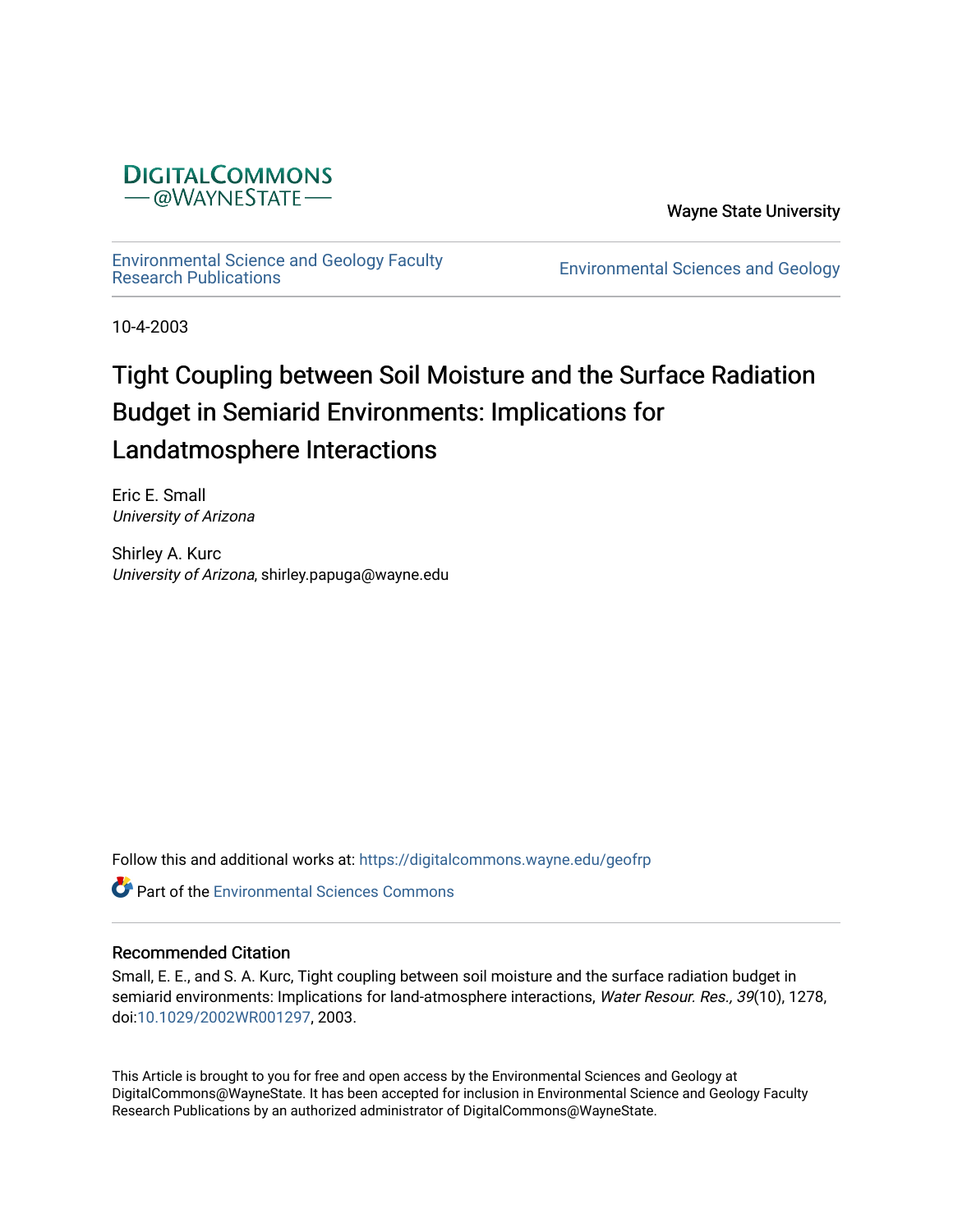

Wayne State University

[Environmental Science and Geology Faculty](https://digitalcommons.wayne.edu/geofrp) 

Environmental Sciences and Geology

10-4-2003

# Tight Coupling between Soil Moisture and the Surface Radiation Budget in Semiarid Environments: Implications for Landatmosphere Interactions

Eric E. Small University of Arizona

Shirley A. Kurc University of Arizona, shirley.papuga@wayne.edu

Follow this and additional works at: [https://digitalcommons.wayne.edu/geofrp](https://digitalcommons.wayne.edu/geofrp?utm_source=digitalcommons.wayne.edu%2Fgeofrp%2F67&utm_medium=PDF&utm_campaign=PDFCoverPages) 

**Part of the [Environmental Sciences Commons](https://network.bepress.com/hgg/discipline/167?utm_source=digitalcommons.wayne.edu%2Fgeofrp%2F67&utm_medium=PDF&utm_campaign=PDFCoverPages)** 

# Recommended Citation

Small, E. E., and S. A. Kurc, Tight coupling between soil moisture and the surface radiation budget in semiarid environments: Implications for land-atmosphere interactions, Water Resour. Res., 39(10), 1278, doi[:10.1029/2002WR001297,](https://doi.org/10.1029/2002WR001297) 2003.

This Article is brought to you for free and open access by the Environmental Sciences and Geology at DigitalCommons@WayneState. It has been accepted for inclusion in Environmental Science and Geology Faculty Research Publications by an authorized administrator of DigitalCommons@WayneState.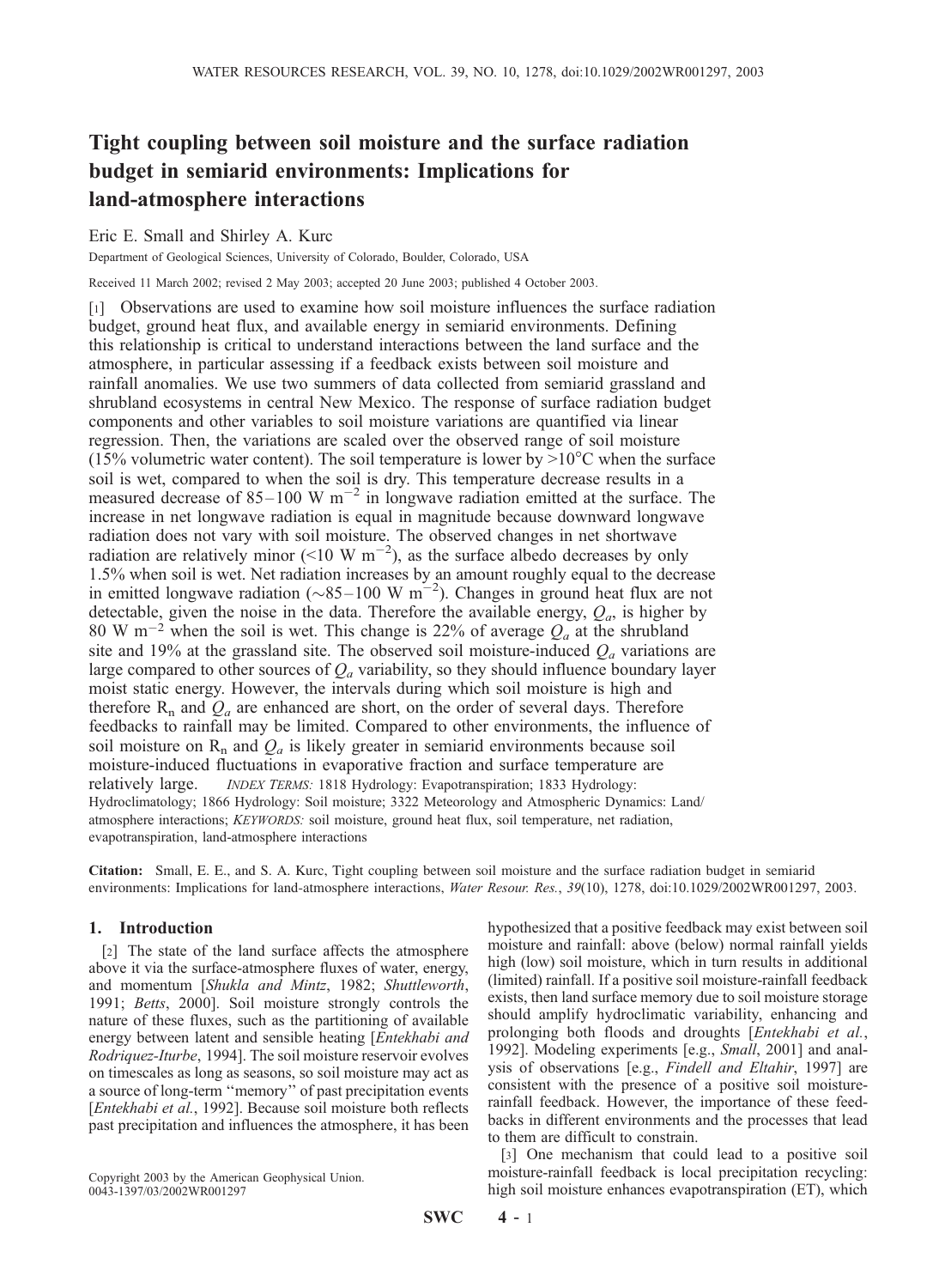# Tight coupling between soil moisture and the surface radiation budget in semiarid environments: Implications for land-atmosphere interactions

# Eric E. Small and Shirley A. Kurc

Department of Geological Sciences, University of Colorado, Boulder, Colorado, USA

Received 11 March 2002; revised 2 May 2003; accepted 20 June 2003; published 4 October 2003.

[1] Observations are used to examine how soil moisture influences the surface radiation budget, ground heat flux, and available energy in semiarid environments. Defining this relationship is critical to understand interactions between the land surface and the atmosphere, in particular assessing if a feedback exists between soil moisture and rainfall anomalies. We use two summers of data collected from semiarid grassland and shrubland ecosystems in central New Mexico. The response of surface radiation budget components and other variables to soil moisture variations are quantified via linear regression. Then, the variations are scaled over the observed range of soil moisture (15% volumetric water content). The soil temperature is lower by  $>10^{\circ}$ C when the surface soil is wet, compared to when the soil is dry. This temperature decrease results in a measured decrease of  $85-100 \text{ W m}^{-2}$  in longwave radiation emitted at the surface. The increase in net longwave radiation is equal in magnitude because downward longwave radiation does not vary with soil moisture. The observed changes in net shortwave radiation are relatively minor (<10 W  $m^{-2}$ ), as the surface albedo decreases by only 1.5% when soil is wet. Net radiation increases by an amount roughly equal to the decrease in emitted longwave radiation ( $\sim 85-100 \text{ W m}^{-2}$ ). Changes in ground heat flux are not detectable, given the noise in the data. Therefore the available energy,  $Q_a$ , is higher by 80 W m<sup>-2</sup> when the soil is wet. This change is 22% of average  $Q_a$  at the shrubland site and 19% at the grassland site. The observed soil moisture-induced  $Q_a$  variations are large compared to other sources of  $Q_a$  variability, so they should influence boundary layer moist static energy. However, the intervals during which soil moisture is high and therefore  $R_n$  and  $Q_a$  are enhanced are short, on the order of several days. Therefore feedbacks to rainfall may be limited. Compared to other environments, the influence of soil moisture on  $\mathbb{R}_n$  and  $\mathcal{Q}_a$  is likely greater in semiarid environments because soil moisture-induced fluctuations in evaporative fraction and surface temperature are relatively large. *INDEX TERMS*: 1818 Hydrology: Evapotranspiration; 1833 Hydrology: Hydroclimatology; 1866 Hydrology: Soil moisture; 3322 Meteorology and Atmospheric Dynamics: Land/ atmosphere interactions; KEYWORDS: soil moisture, ground heat flux, soil temperature, net radiation, evapotranspiration, land-atmosphere interactions

Citation: Small, E. E., and S. A. Kurc, Tight coupling between soil moisture and the surface radiation budget in semiarid environments: Implications for land-atmosphere interactions, Water Resour. Res., 39(10), 1278, doi:10.1029/2002WR001297, 2003.

# 1. Introduction

[2] The state of the land surface affects the atmosphere above it via the surface-atmosphere fluxes of water, energy, and momentum [Shukla and Mintz, 1982; Shuttleworth, 1991; Betts, 2000]. Soil moisture strongly controls the nature of these fluxes, such as the partitioning of available energy between latent and sensible heating [Entekhabi and Rodriquez-Iturbe, 1994]. The soil moisture reservoir evolves on timescales as long as seasons, so soil moisture may act as a source of long-term ''memory'' of past precipitation events [Entekhabi et al., 1992]. Because soil moisture both reflects past precipitation and influences the atmosphere, it has been

0043-1397/03/2002WR001297

hypothesized that a positive feedback may exist between soil moisture and rainfall: above (below) normal rainfall yields high (low) soil moisture, which in turn results in additional (limited) rainfall. If a positive soil moisture-rainfall feedback exists, then land surface memory due to soil moisture storage should amplify hydroclimatic variability, enhancing and prolonging both floods and droughts [Entekhabi et al., 1992]. Modeling experiments [e.g., Small, 2001] and analysis of observations [e.g., Findell and Eltahir, 1997] are consistent with the presence of a positive soil moisturerainfall feedback. However, the importance of these feedbacks in different environments and the processes that lead to them are difficult to constrain.

[3] One mechanism that could lead to a positive soil moisture-rainfall feedback is local precipitation recycling: Copyright 2003 by the American Geophysical Union. moisture-raintall teedback is local precipitation recycling:<br>
0043-1397/03/2002WR001297 high soil moisture enhances evapotranspiration (ET), which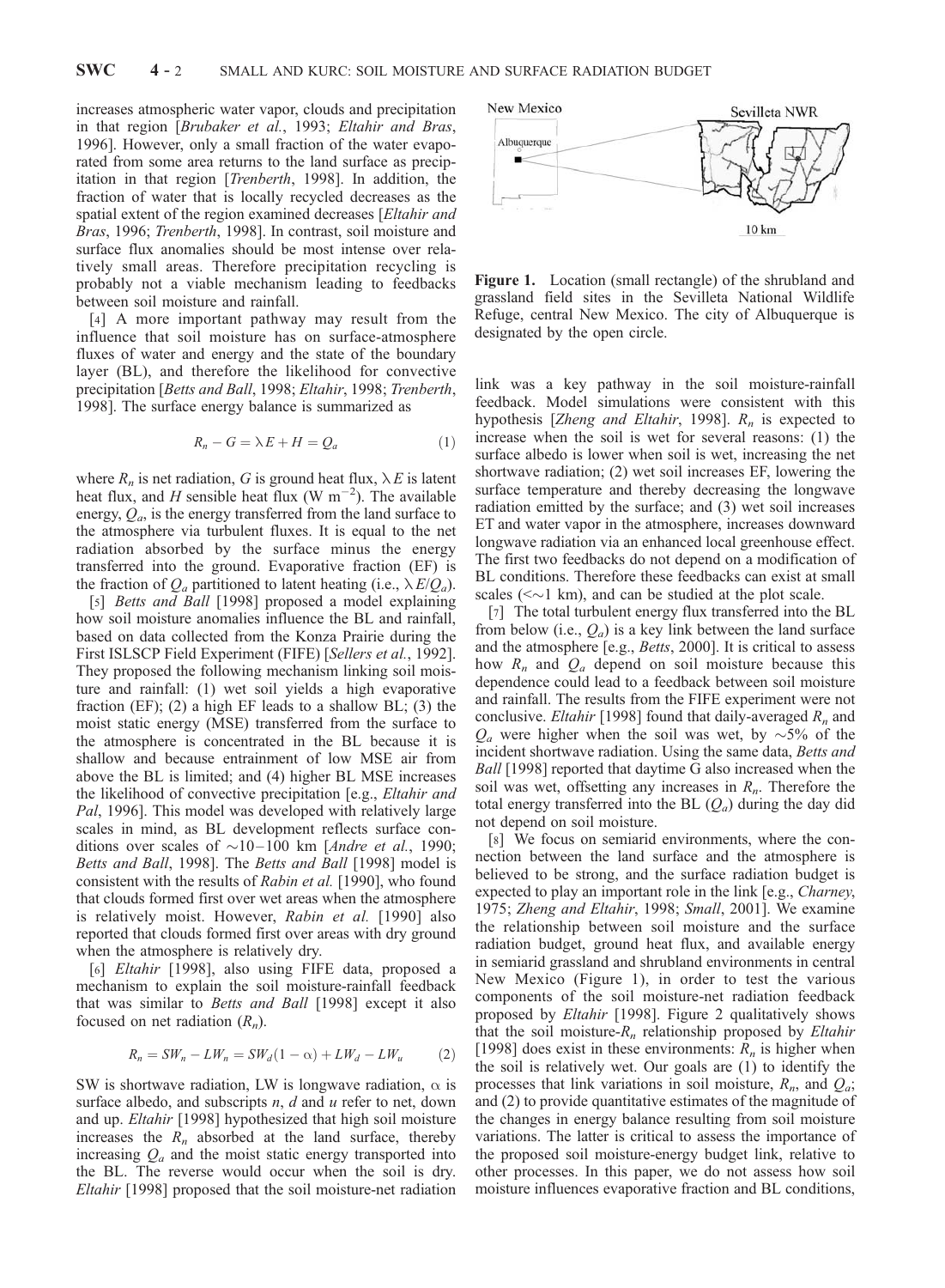increases atmospheric water vapor, clouds and precipitation in that region [Brubaker et al., 1993; Eltahir and Bras, 1996]. However, only a small fraction of the water evaporated from some area returns to the land surface as precipitation in that region [Trenberth, 1998]. In addition, the fraction of water that is locally recycled decreases as the spatial extent of the region examined decreases [Eltahir and Bras, 1996; Trenberth, 1998]. In contrast, soil moisture and surface flux anomalies should be most intense over relatively small areas. Therefore precipitation recycling is probably not a viable mechanism leading to feedbacks between soil moisture and rainfall.

[4] A more important pathway may result from the influence that soil moisture has on surface-atmosphere fluxes of water and energy and the state of the boundary layer (BL), and therefore the likelihood for convective precipitation [Betts and Ball, 1998; Eltahir, 1998; Trenberth, 1998]. The surface energy balance is summarized as

$$
R_n - G = \lambda E + H = Q_a \tag{1}
$$

where  $R_n$  is net radiation, G is ground heat flux,  $\lambda E$  is latent heat flux, and H sensible heat flux (W m<sup>-2</sup>). The available energy,  $Q_a$ , is the energy transferred from the land surface to the atmosphere via turbulent fluxes. It is equal to the net radiation absorbed by the surface minus the energy transferred into the ground. Evaporative fraction (EF) is the fraction of  $Q_a$  partitioned to latent heating (i.e.,  $\lambda E/Q_a$ ).

[5] *Betts and Ball* [1998] proposed a model explaining how soil moisture anomalies influence the BL and rainfall, based on data collected from the Konza Prairie during the First ISLSCP Field Experiment (FIFE) [Sellers et al., 1992]. They proposed the following mechanism linking soil moisture and rainfall: (1) wet soil yields a high evaporative fraction (EF); (2) a high EF leads to a shallow BL; (3) the moist static energy (MSE) transferred from the surface to the atmosphere is concentrated in the BL because it is shallow and because entrainment of low MSE air from above the BL is limited; and (4) higher BL MSE increases the likelihood of convective precipitation [e.g., Eltahir and Pal, 1996]. This model was developed with relatively large scales in mind, as BL development reflects surface conditions over scales of  $\sim$ 10–100 km [*Andre et al.*, 1990; Betts and Ball, 1998]. The Betts and Ball [1998] model is consistent with the results of Rabin et al. [1990], who found that clouds formed first over wet areas when the atmosphere is relatively moist. However, Rabin et al. [1990] also reported that clouds formed first over areas with dry ground when the atmosphere is relatively dry.

[6] Eltahir [1998], also using FIFE data, proposed a mechanism to explain the soil moisture-rainfall feedback that was similar to Betts and Ball [1998] except it also focused on net radiation  $(R_n)$ .

$$
R_n = SW_n - LW_n = SW_d(1 - \alpha) + LW_d - LW_u \tag{2}
$$

SW is shortwave radiation, LW is longwave radiation,  $\alpha$  is surface albedo, and subscripts  $n$ ,  $d$  and  $u$  refer to net, down and up. Eltahir [1998] hypothesized that high soil moisture increases the  $R_n$  absorbed at the land surface, thereby increasing  $Q_a$  and the moist static energy transported into the BL. The reverse would occur when the soil is dry. Eltahir [1998] proposed that the soil moisture-net radiation



Figure 1. Location (small rectangle) of the shrubland and grassland field sites in the Sevilleta National Wildlife Refuge, central New Mexico. The city of Albuquerque is designated by the open circle.

link was a key pathway in the soil moisture-rainfall feedback. Model simulations were consistent with this hypothesis [Zheng and Eltahir, 1998].  $R_n$  is expected to increase when the soil is wet for several reasons: (1) the surface albedo is lower when soil is wet, increasing the net shortwave radiation; (2) wet soil increases EF, lowering the surface temperature and thereby decreasing the longwave radiation emitted by the surface; and (3) wet soil increases ET and water vapor in the atmosphere, increases downward longwave radiation via an enhanced local greenhouse effect. The first two feedbacks do not depend on a modification of BL conditions. Therefore these feedbacks can exist at small scales ( $\leq$   $\sim$  1 km), and can be studied at the plot scale.

[7] The total turbulent energy flux transferred into the BL from below (i.e.,  $Q_a$ ) is a key link between the land surface and the atmosphere [e.g., Betts, 2000]. It is critical to assess how  $R_n$  and  $Q_a$  depend on soil moisture because this dependence could lead to a feedback between soil moisture and rainfall. The results from the FIFE experiment were not conclusive. *Eltahir* [1998] found that daily-averaged  $R_n$  and  $Q_a$  were higher when the soil was wet, by  $\sim$ 5% of the incident shortwave radiation. Using the same data, Betts and Ball [1998] reported that daytime G also increased when the soil was wet, offsetting any increases in  $R_n$ . Therefore the total energy transferred into the BL  $(Q_a)$  during the day did not depend on soil moisture.

[8] We focus on semiarid environments, where the connection between the land surface and the atmosphere is believed to be strong, and the surface radiation budget is expected to play an important role in the link [e.g., *Charney*, 1975; Zheng and Eltahir, 1998; Small, 2001]. We examine the relationship between soil moisture and the surface radiation budget, ground heat flux, and available energy in semiarid grassland and shrubland environments in central New Mexico (Figure 1), in order to test the various components of the soil moisture-net radiation feedback proposed by Eltahir [1998]. Figure 2 qualitatively shows that the soil moisture- $R_n$  relationship proposed by *Eltahir* [1998] does exist in these environments:  $R_n$  is higher when the soil is relatively wet. Our goals are (1) to identify the processes that link variations in soil moisture,  $R_n$ , and  $Q_a$ ; and (2) to provide quantitative estimates of the magnitude of the changes in energy balance resulting from soil moisture variations. The latter is critical to assess the importance of the proposed soil moisture-energy budget link, relative to other processes. In this paper, we do not assess how soil moisture influences evaporative fraction and BL conditions,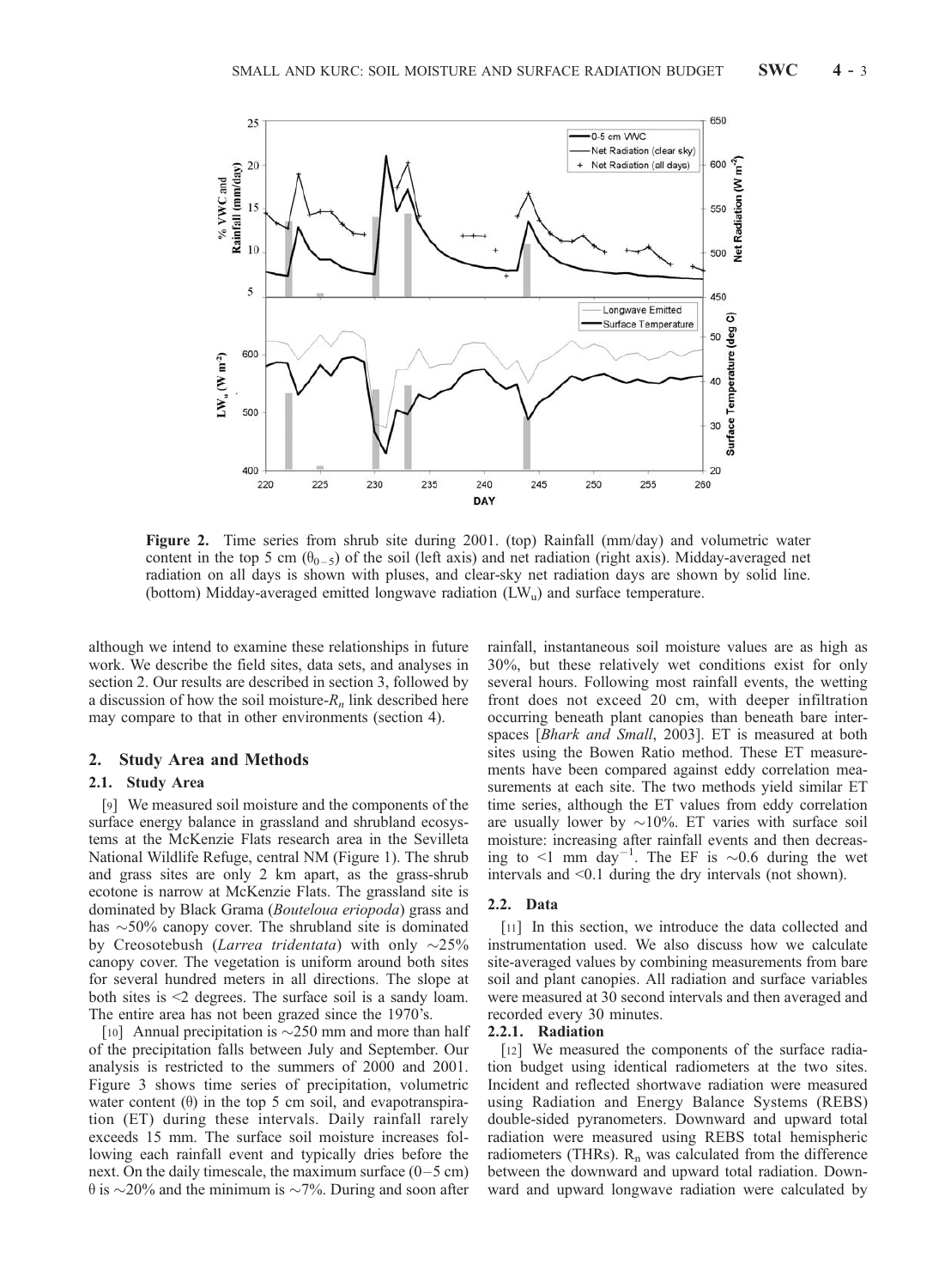

Figure 2. Time series from shrub site during 2001. (top) Rainfall (mm/day) and volumetric water content in the top 5 cm ( $\theta_{0-5}$ ) of the soil (left axis) and net radiation (right axis). Midday-averaged net radiation on all days is shown with pluses, and clear-sky net radiation days are shown by solid line. (bottom) Midday-averaged emitted longwave radiation  $(LW<sub>u</sub>)$  and surface temperature.

although we intend to examine these relationships in future work. We describe the field sites, data sets, and analyses in section 2. Our results are described in section 3, followed by a discussion of how the soil moisture- $R_n$  link described here may compare to that in other environments (section 4).

# 2. Study Area and Methods

# 2.1. Study Area

[9] We measured soil moisture and the components of the surface energy balance in grassland and shrubland ecosystems at the McKenzie Flats research area in the Sevilleta National Wildlife Refuge, central NM (Figure 1). The shrub and grass sites are only 2 km apart, as the grass-shrub ecotone is narrow at McKenzie Flats. The grassland site is dominated by Black Grama (Bouteloua eriopoda) grass and has  $\sim$  50% canopy cover. The shrubland site is dominated by Creosotebush (Larrea tridentata) with only  $\sim$ 25% canopy cover. The vegetation is uniform around both sites for several hundred meters in all directions. The slope at both sites is <2 degrees. The surface soil is a sandy loam. The entire area has not been grazed since the 1970's.

[10] Annual precipitation is  $\sim$ 250 mm and more than half of the precipitation falls between July and September. Our analysis is restricted to the summers of 2000 and 2001. Figure 3 shows time series of precipitation, volumetric water content  $(\theta)$  in the top 5 cm soil, and evapotranspiration (ET) during these intervals. Daily rainfall rarely exceeds 15 mm. The surface soil moisture increases following each rainfall event and typically dries before the next. On the daily timescale, the maximum surface  $(0-5 \text{ cm})$  $\theta$  is  $\sim$ 20% and the minimum is  $\sim$ 7%. During and soon after

rainfall, instantaneous soil moisture values are as high as 30%, but these relatively wet conditions exist for only several hours. Following most rainfall events, the wetting front does not exceed 20 cm, with deeper infiltration occurring beneath plant canopies than beneath bare interspaces [Bhark and Small, 2003]. ET is measured at both sites using the Bowen Ratio method. These ET measurements have been compared against eddy correlation measurements at each site. The two methods yield similar ET time series, although the ET values from eddy correlation are usually lower by  $\sim 10\%$ . ET varies with surface soil moisture: increasing after rainfall events and then decreasing to <1 mm day<sup>-1</sup>. The EF is  $\sim 0.6$  during the wet intervals and <0.1 during the dry intervals (not shown).

#### 2.2. Data

[11] In this section, we introduce the data collected and instrumentation used. We also discuss how we calculate site-averaged values by combining measurements from bare soil and plant canopies. All radiation and surface variables were measured at 30 second intervals and then averaged and recorded every 30 minutes.

#### 2.2.1. Radiation

[12] We measured the components of the surface radiation budget using identical radiometers at the two sites. Incident and reflected shortwave radiation were measured using Radiation and Energy Balance Systems (REBS) double-sided pyranometers. Downward and upward total radiation were measured using REBS total hemispheric radiometers (THRs).  $R_n$  was calculated from the difference between the downward and upward total radiation. Downward and upward longwave radiation were calculated by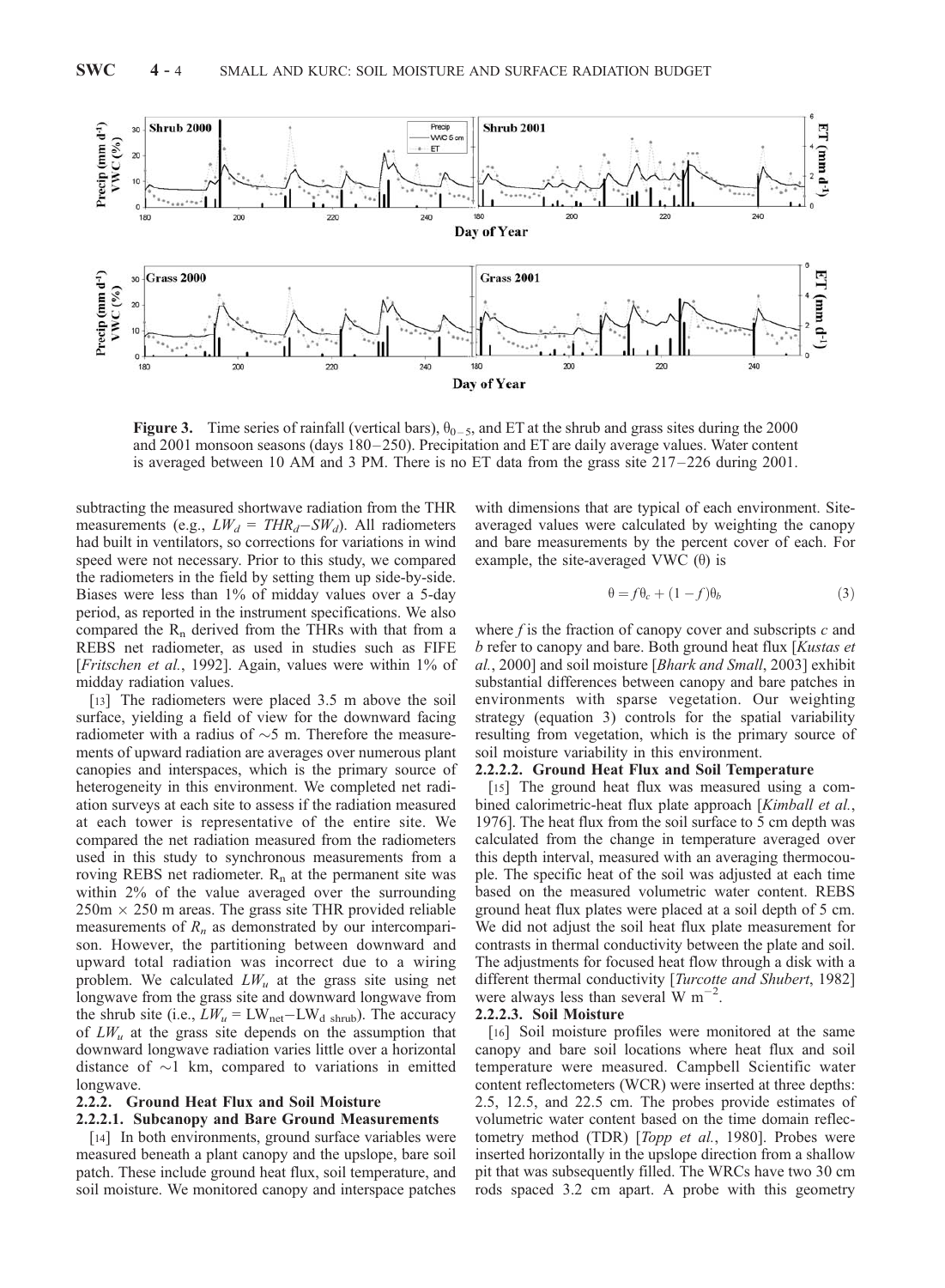

**Figure 3.** Time series of rainfall (vertical bars),  $\theta_{0-5}$ , and ET at the shrub and grass sites during the 2000 and 2001 monsoon seasons (days 180– 250). Precipitation and ET are daily average values. Water content is averaged between 10 AM and 3 PM. There is no ET data from the grass site 217 – 226 during 2001.

subtracting the measured shortwave radiation from the THR measurements (e.g.,  $LW_d = THR_d-SW_d$ ). All radiometers had built in ventilators, so corrections for variations in wind speed were not necessary. Prior to this study, we compared the radiometers in the field by setting them up side-by-side. Biases were less than 1% of midday values over a 5-day period, as reported in the instrument specifications. We also compared the  $R_n$  derived from the THRs with that from a REBS net radiometer, as used in studies such as FIFE [Fritschen et al., 1992]. Again, values were within 1% of midday radiation values.

[13] The radiometers were placed 3.5 m above the soil surface, yielding a field of view for the downward facing radiometer with a radius of  $\sim$ 5 m. Therefore the measurements of upward radiation are averages over numerous plant canopies and interspaces, which is the primary source of heterogeneity in this environment. We completed net radiation surveys at each site to assess if the radiation measured at each tower is representative of the entire site. We compared the net radiation measured from the radiometers used in this study to synchronous measurements from a roving REBS net radiometer.  $R_n$  at the permanent site was within 2% of the value averaged over the surrounding  $250 \text{m} \times 250 \text{ m}$  areas. The grass site THR provided reliable measurements of  $R_n$  as demonstrated by our intercomparison. However, the partitioning between downward and upward total radiation was incorrect due to a wiring problem. We calculated  $LW_u$  at the grass site using net longwave from the grass site and downward longwave from the shrub site (i.e.,  $LW_u = LW_{net} - LW_{d \text{ shrub}}$ ). The accuracy of  $LW_u$  at the grass site depends on the assumption that downward longwave radiation varies little over a horizontal distance of  $\sim$ 1 km, compared to variations in emitted longwave.

# 2.2.2. Ground Heat Flux and Soil Moisture

#### 2.2.2.1. Subcanopy and Bare Ground Measurements

[14] In both environments, ground surface variables were measured beneath a plant canopy and the upslope, bare soil patch. These include ground heat flux, soil temperature, and soil moisture. We monitored canopy and interspace patches with dimensions that are typical of each environment. Siteaveraged values were calculated by weighting the canopy and bare measurements by the percent cover of each. For example, the site-averaged VWC  $(\theta)$  is

$$
\theta = f\theta_c + (1 - f)\theta_b \tag{3}
$$

where  $f$  is the fraction of canopy cover and subscripts  $c$  and b refer to canopy and bare. Both ground heat flux [Kustas et al., 2000] and soil moisture [Bhark and Small, 2003] exhibit substantial differences between canopy and bare patches in environments with sparse vegetation. Our weighting strategy (equation 3) controls for the spatial variability resulting from vegetation, which is the primary source of soil moisture variability in this environment.

# 2.2.2.2. Ground Heat Flux and Soil Temperature

[15] The ground heat flux was measured using a combined calorimetric-heat flux plate approach [Kimball et al., 1976]. The heat flux from the soil surface to 5 cm depth was calculated from the change in temperature averaged over this depth interval, measured with an averaging thermocouple. The specific heat of the soil was adjusted at each time based on the measured volumetric water content. REBS ground heat flux plates were placed at a soil depth of 5 cm. We did not adjust the soil heat flux plate measurement for contrasts in thermal conductivity between the plate and soil. The adjustments for focused heat flow through a disk with a different thermal conductivity [Turcotte and Shubert, 1982] were always less than several W  $m^{-2}$ .

#### 2.2.2.3. Soil Moisture

[16] Soil moisture profiles were monitored at the same canopy and bare soil locations where heat flux and soil temperature were measured. Campbell Scientific water content reflectometers (WCR) were inserted at three depths: 2.5, 12.5, and 22.5 cm. The probes provide estimates of volumetric water content based on the time domain reflectometry method (TDR) [Topp et al., 1980]. Probes were inserted horizontally in the upslope direction from a shallow pit that was subsequently filled. The WRCs have two 30 cm rods spaced 3.2 cm apart. A probe with this geometry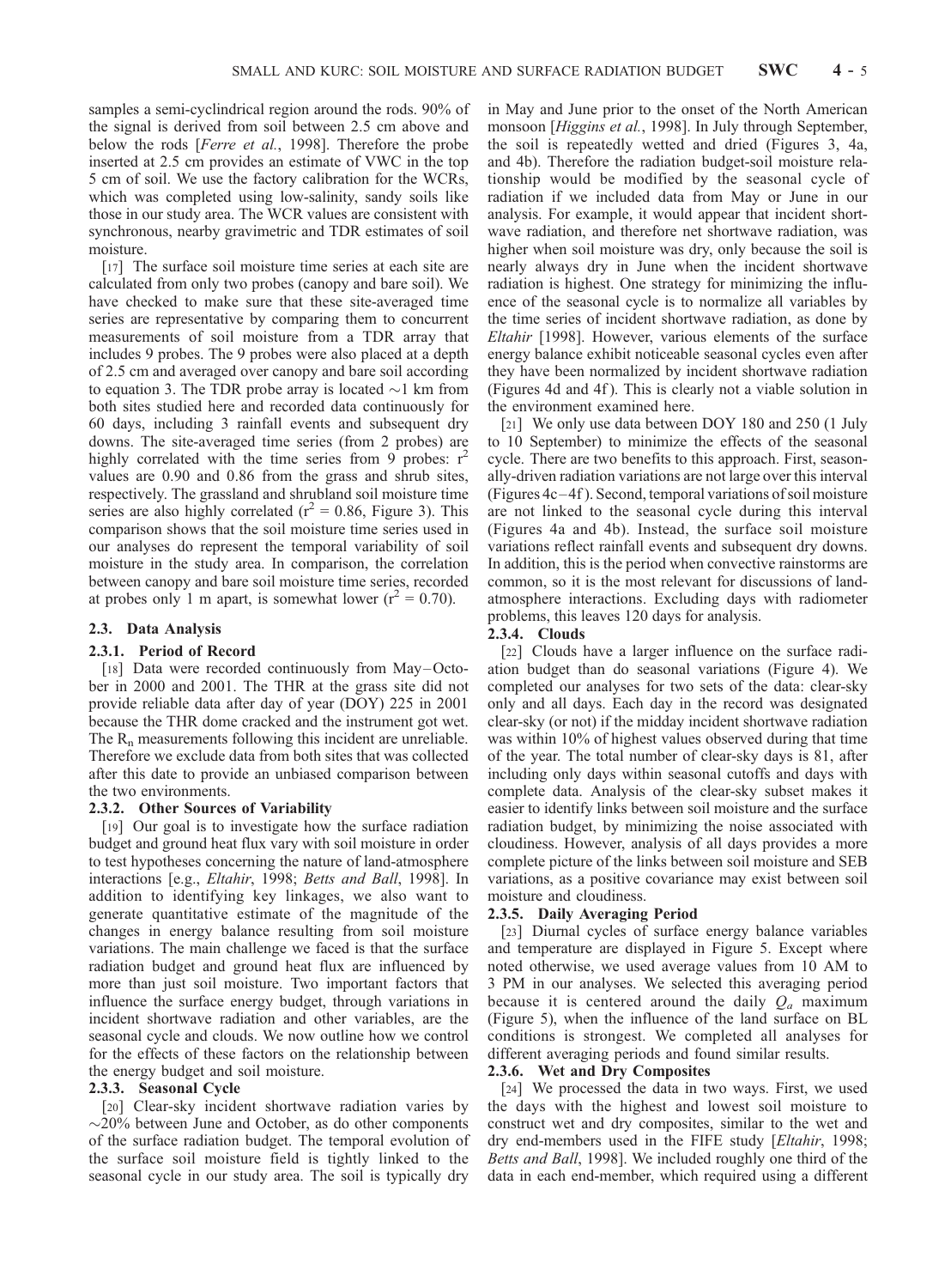samples a semi-cyclindrical region around the rods. 90% of the signal is derived from soil between 2.5 cm above and below the rods [Ferre et al., 1998]. Therefore the probe inserted at 2.5 cm provides an estimate of VWC in the top 5 cm of soil. We use the factory calibration for the WCRs, which was completed using low-salinity, sandy soils like those in our study area. The WCR values are consistent with synchronous, nearby gravimetric and TDR estimates of soil moisture.

[17] The surface soil moisture time series at each site are calculated from only two probes (canopy and bare soil). We have checked to make sure that these site-averaged time series are representative by comparing them to concurrent measurements of soil moisture from a TDR array that includes 9 probes. The 9 probes were also placed at a depth of 2.5 cm and averaged over canopy and bare soil according to equation 3. The TDR probe array is located  $\sim$ 1 km from both sites studied here and recorded data continuously for 60 days, including 3 rainfall events and subsequent dry downs. The site-averaged time series (from 2 probes) are highly correlated with the time series from 9 probes:  $r^2$ values are 0.90 and 0.86 from the grass and shrub sites, respectively. The grassland and shrubland soil moisture time series are also highly correlated ( $r^2$  = 0.86, Figure 3). This comparison shows that the soil moisture time series used in our analyses do represent the temporal variability of soil moisture in the study area. In comparison, the correlation between canopy and bare soil moisture time series, recorded at probes only 1 m apart, is somewhat lower ( $r^2 = 0.70$ ).

# 2.3. Data Analysis

#### 2.3.1. Period of Record

[18] Data were recorded continuously from May–October in 2000 and 2001. The THR at the grass site did not provide reliable data after day of year (DOY) 225 in 2001 because the THR dome cracked and the instrument got wet. The  $R_n$  measurements following this incident are unreliable. Therefore we exclude data from both sites that was collected after this date to provide an unbiased comparison between the two environments.

#### 2.3.2. Other Sources of Variability

[19] Our goal is to investigate how the surface radiation budget and ground heat flux vary with soil moisture in order to test hypotheses concerning the nature of land-atmosphere interactions [e.g., Eltahir, 1998; Betts and Ball, 1998]. In addition to identifying key linkages, we also want to generate quantitative estimate of the magnitude of the changes in energy balance resulting from soil moisture variations. The main challenge we faced is that the surface radiation budget and ground heat flux are influenced by more than just soil moisture. Two important factors that influence the surface energy budget, through variations in incident shortwave radiation and other variables, are the seasonal cycle and clouds. We now outline how we control for the effects of these factors on the relationship between the energy budget and soil moisture.

# 2.3.3. Seasonal Cycle

[20] Clear-sky incident shortwave radiation varies by  $\sim$ 20% between June and October, as do other components of the surface radiation budget. The temporal evolution of the surface soil moisture field is tightly linked to the seasonal cycle in our study area. The soil is typically dry

in May and June prior to the onset of the North American monsoon [Higgins et al., 1998]. In July through September, the soil is repeatedly wetted and dried (Figures 3, 4a, and 4b). Therefore the radiation budget-soil moisture relationship would be modified by the seasonal cycle of radiation if we included data from May or June in our analysis. For example, it would appear that incident shortwave radiation, and therefore net shortwave radiation, was higher when soil moisture was dry, only because the soil is nearly always dry in June when the incident shortwave radiation is highest. One strategy for minimizing the influence of the seasonal cycle is to normalize all variables by the time series of incident shortwave radiation, as done by Eltahir [1998]. However, various elements of the surface energy balance exhibit noticeable seasonal cycles even after they have been normalized by incident shortwave radiation (Figures 4d and 4f ). This is clearly not a viable solution in the environment examined here.

[21] We only use data between DOY 180 and 250 (1 July to 10 September) to minimize the effects of the seasonal cycle. There are two benefits to this approach. First, seasonally-driven radiation variations are not large over this interval (Figures 4c –4f ). Second, temporal variations of soil moisture are not linked to the seasonal cycle during this interval (Figures 4a and 4b). Instead, the surface soil moisture variations reflect rainfall events and subsequent dry downs. In addition, this is the period when convective rainstorms are common, so it is the most relevant for discussions of landatmosphere interactions. Excluding days with radiometer problems, this leaves 120 days for analysis.

# 2.3.4. Clouds

[22] Clouds have a larger influence on the surface radiation budget than do seasonal variations (Figure 4). We completed our analyses for two sets of the data: clear-sky only and all days. Each day in the record was designated clear-sky (or not) if the midday incident shortwave radiation was within 10% of highest values observed during that time of the year. The total number of clear-sky days is 81, after including only days within seasonal cutoffs and days with complete data. Analysis of the clear-sky subset makes it easier to identify links between soil moisture and the surface radiation budget, by minimizing the noise associated with cloudiness. However, analysis of all days provides a more complete picture of the links between soil moisture and SEB variations, as a positive covariance may exist between soil moisture and cloudiness.

# 2.3.5. Daily Averaging Period

[23] Diurnal cycles of surface energy balance variables and temperature are displayed in Figure 5. Except where noted otherwise, we used average values from 10 AM to 3 PM in our analyses. We selected this averaging period because it is centered around the daily  $Q_a$  maximum (Figure 5), when the influence of the land surface on BL conditions is strongest. We completed all analyses for different averaging periods and found similar results.

#### 2.3.6. Wet and Dry Composites

[24] We processed the data in two ways. First, we used the days with the highest and lowest soil moisture to construct wet and dry composites, similar to the wet and dry end-members used in the FIFE study [Eltahir, 1998; Betts and Ball, 1998]. We included roughly one third of the data in each end-member, which required using a different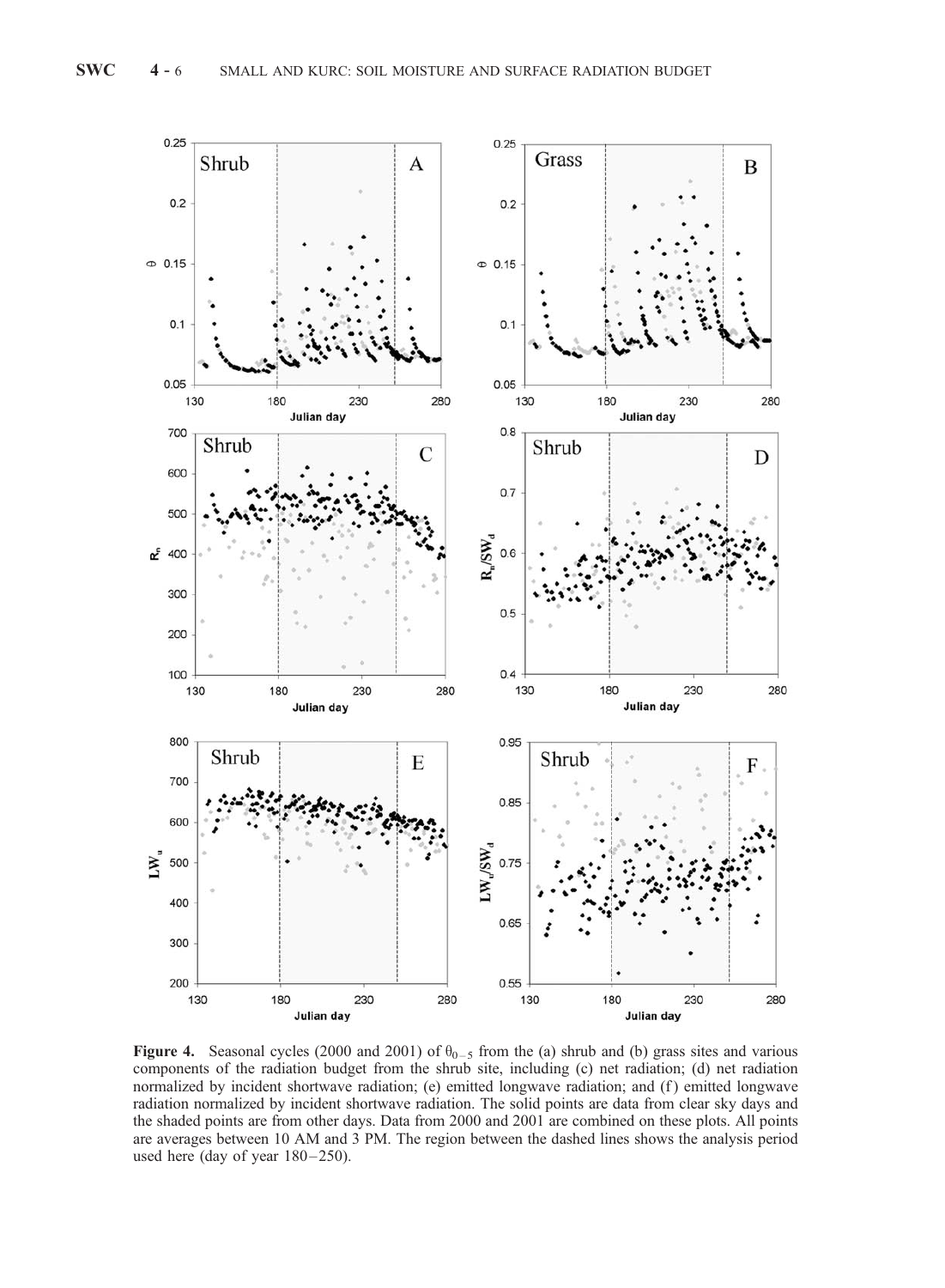

**Figure 4.** Seasonal cycles (2000 and 2001) of  $\theta_{0-5}$  from the (a) shrub and (b) grass sites and various components of the radiation budget from the shrub site, including (c) net radiation; (d) net radiation normalized by incident shortwave radiation; (e) emitted longwave radiation; and (f) emitted longwave radiation normalized by incident shortwave radiation. The solid points are data from clear sky days and the shaded points are from other days. Data from 2000 and 2001 are combined on these plots. All points are averages between 10 AM and 3 PM. The region between the dashed lines shows the analysis period used here (day of year 180-250).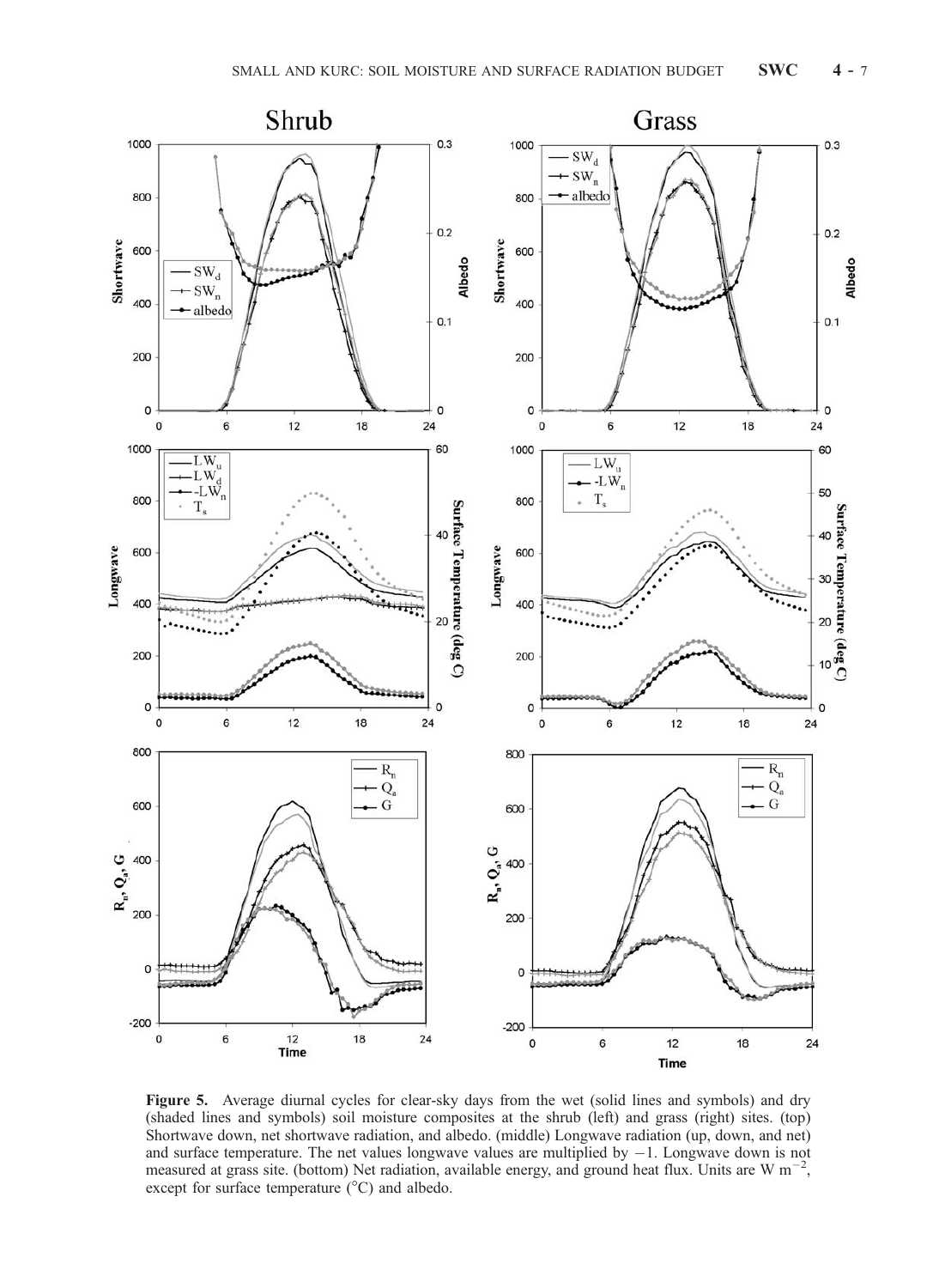

Figure 5. Average diurnal cycles for clear-sky days from the wet (solid lines and symbols) and dry (shaded lines and symbols) soil moisture composites at the shrub (left) and grass (right) sites. (top) Shortwave down, net shortwave radiation, and albedo. (middle) Longwave radiation (up, down, and net) and surface temperature. The net values longwave values are multiplied by  $-1$ . Longwave down is not measured at grass site. (bottom) Net radiation, available energy, and ground heat flux. Units are W  $m^{-2}$ , except for surface temperature  $(^{\circ}C)$  and albedo.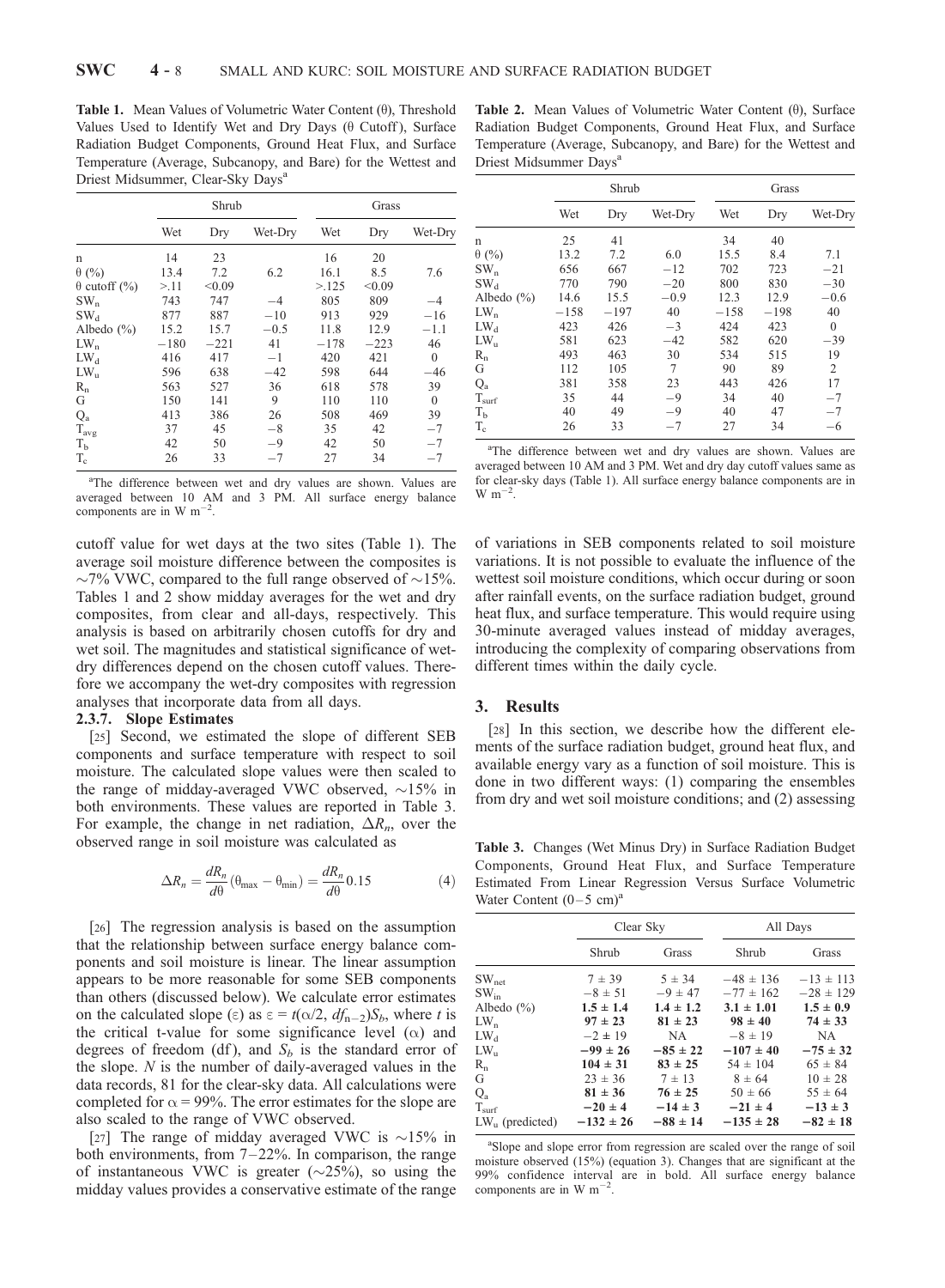Table 1. Mean Values of Volumetric Water Content  $(\theta)$ , Threshold Values Used to Identify Wet and Dry Days  $(\theta \text{ Cutoff})$ , Surface Radiation Budget Components, Ground Heat Flux, and Surface Temperature (Average, Subcanopy, and Bare) for the Wettest and Driest Midsummer, Clear-Sky Days<sup>a</sup>

|                         | Shrub  |        |         | Grass  |        |                  |
|-------------------------|--------|--------|---------|--------|--------|------------------|
|                         | Wet    | Dry    | Wet-Dry | Wet    | Dry    | Wet-Dry          |
| n                       | 14     | 23     |         | 16     | 20     |                  |
| $\theta$ (%)            | 13.4   | 7.2    | 6.2     | 16.1   | 8.5    | 7.6              |
| $\theta$ cutoff $(\% )$ | >11    | < 0.09 |         | >125   | < 0.09 |                  |
| $SW_n$                  | 743    | 747    | $-4$    | 805    | 809    | $-4$             |
| SW <sub>d</sub>         | 877    | 887    | $-10$   | 913    | 929    | $-16$            |
| Albedo $(\% )$          | 15.2   | 15.7   | $-0.5$  | 11.8   | 12.9   | $-1.1$           |
| $LW_n$                  | $-180$ | $-221$ | 41      | $-178$ | $-223$ | 46               |
| $LW_d$                  | 416    | 417    | $-1$    | 420    | 421    | $\mathbf{0}$     |
| $LW_{\rm u}$            | 596    | 638    | $-42$   | 598    | 644    | $-46$            |
| $R_{n}$                 | 563    | 527    | 36      | 618    | 578    | 39               |
| G                       | 150    | 141    | 9       | 110    | 110    | $\boldsymbol{0}$ |
| $Q_{a}$                 | 413    | 386    | 26      | 508    | 469    | 39               |
| $T_{avg}$               | 37     | 45     | $-8$    | 35     | 42     | $-7$             |
| T <sub>b</sub>          | 42     | 50     | $-9$    | 42     | 50     | $-7$             |
| $T_c$                   | 26     | 33     | $-7$    | 27     | 34     | $-7$             |

<sup>a</sup>The difference between wet and dry values are shown. Values are averaged between 10 AM and 3 PM. All surface energy balance components are in W  $m^{-2}$ .

cutoff value for wet days at the two sites (Table 1). The average soil moisture difference between the composites is  $\sim$ 7% VWC, compared to the full range observed of  $\sim$ 15%. Tables 1 and 2 show midday averages for the wet and dry composites, from clear and all-days, respectively. This analysis is based on arbitrarily chosen cutoffs for dry and wet soil. The magnitudes and statistical significance of wetdry differences depend on the chosen cutoff values. Therefore we accompany the wet-dry composites with regression analyses that incorporate data from all days.

# 2.3.7. Slope Estimates

[25] Second, we estimated the slope of different SEB components and surface temperature with respect to soil moisture. The calculated slope values were then scaled to the range of midday-averaged VWC observed,  $\sim$ 15% in both environments. These values are reported in Table 3. For example, the change in net radiation,  $\Delta R_n$ , over the observed range in soil moisture was calculated as

$$
\Delta R_n = \frac{dR_n}{d\theta} \left( \theta_{\text{max}} - \theta_{\text{min}} \right) = \frac{dR_n}{d\theta} 0.15 \tag{4}
$$

[26] The regression analysis is based on the assumption that the relationship between surface energy balance components and soil moisture is linear. The linear assumption appears to be more reasonable for some SEB components than others (discussed below). We calculate error estimates on the calculated slope ( $\varepsilon$ ) as  $\varepsilon = t(\alpha/2, df_{n-2})S_b$ , where t is the critical t-value for some significance level  $(\alpha)$  and degrees of freedom (df), and  $S_b$  is the standard error of the slope.  $N$  is the number of daily-averaged values in the data records, 81 for the clear-sky data. All calculations were completed for  $\alpha$  = 99%. The error estimates for the slope are also scaled to the range of VWC observed.

[27] The range of midday averaged VWC is  $\sim$ 15% in both environments, from  $7-22\%$ . In comparison, the range of instantaneous VWC is greater  $(\sim 25\%)$ , so using the midday values provides a conservative estimate of the range

Table 2. Mean Values of Volumetric Water Content  $(\theta)$ , Surface Radiation Budget Components, Ground Heat Flux, and Surface Temperature (Average, Subcanopy, and Bare) for the Wettest and Driest Midsummer Days<sup>a</sup>

|                | Shrub  |        |         | Grass  |        |              |
|----------------|--------|--------|---------|--------|--------|--------------|
|                | Wet    | Dry    | Wet-Dry | Wet    | Dry    | Wet-Dry      |
| n              | 25     | 41     |         | 34     | 40     |              |
| $\theta$ (%)   | 13.2   | 7.2    | 6.0     | 15.5   | 8.4    | 7.1          |
| $SW_n$         | 656    | 667    | $-12$   | 702    | 723    | $-21$        |
| $SW_{d}$       | 770    | 790    | $-20$   | 800    | 830    | $-30$        |
| Albedo $(\% )$ | 14.6   | 15.5   | $-0.9$  | 12.3   | 12.9   | $-0.6$       |
| $LW_n$         | $-158$ | $-197$ | 40      | $-158$ | $-198$ | 40           |
| $LW_d$         | 423    | 426    | $-3$    | 424    | 423    | $\mathbf{0}$ |
| $LW_{\rm u}$   | 581    | 623    | $-42$   | 582    | 620    | $-39$        |
| $R_{n}$        | 493    | 463    | 30      | 534    | 515    | 19           |
| G              | 112    | 105    | 7       | 90     | 89     | 2            |
| $Q_{a}$        | 381    | 358    | 23      | 443    | 426    | 17           |
| $T_{\rm surf}$ | 35     | 44     | -9      | 34     | 40     | $-7$         |
| T <sub>b</sub> | 40     | 49     | -9      | 40     | 47     |              |
| $T_c$          | 26     | 33     | $-7$    | 27     | 34     | -6           |

<sup>a</sup>The difference between wet and dry values are shown. Values are averaged between 10 AM and 3 PM. Wet and dry day cutoff values same as for clear-sky days (Table 1). All surface energy balance components are in  $\mathrm{W}~\mathrm{m}^{-2}$ .

of variations in SEB components related to soil moisture variations. It is not possible to evaluate the influence of the wettest soil moisture conditions, which occur during or soon after rainfall events, on the surface radiation budget, ground heat flux, and surface temperature. This would require using 30-minute averaged values instead of midday averages, introducing the complexity of comparing observations from different times within the daily cycle.

# 3. Results

[28] In this section, we describe how the different elements of the surface radiation budget, ground heat flux, and available energy vary as a function of soil moisture. This is done in two different ways: (1) comparing the ensembles from dry and wet soil moisture conditions; and (2) assessing

Table 3. Changes (Wet Minus Dry) in Surface Radiation Budget Components, Ground Heat Flux, and Surface Temperature Estimated From Linear Regression Versus Surface Volumetric Water Content  $(0-5 \text{ cm})^{\text{a}}$ 

|                   | Clear Sky     |               | All Days       |               |  |
|-------------------|---------------|---------------|----------------|---------------|--|
|                   | Shrub         | Grass         | Shrub          | Grass         |  |
| $SW_{net}$        | $7 \pm 39$    | $5 \pm 34$    | $-48 \pm 136$  | $-13 \pm 113$ |  |
| $SW_{in}$         | $-8 \pm 51$   | $-9 \pm 47$   | $-77 \pm 162$  | $-28 \pm 129$ |  |
| Albedo $(\%)$     | $1.5 \pm 1.4$ | $1.4 \pm 1.2$ | $3.1 \pm 1.01$ | $1.5 \pm 0.9$ |  |
| $LW_n$            | $97 \pm 23$   | $81 \pm 23$   | $98 \pm 40$    | $74 \pm 33$   |  |
| $LW_d$            | $-2 \pm 19$   | NA.           | $-8 \pm 19$    | NA.           |  |
| $LW_{\rm n}$      | $-99 \pm 26$  | $-85 \pm 22$  | $-107 \pm 40$  | $-75 \pm 32$  |  |
| $R_n$             | $104 \pm 31$  | $83 \pm 25$   | $54 \pm 104$   | $65 \pm 84$   |  |
| G                 | $23 \pm 36$   | $7 \pm 13$    | $8 \pm 64$     | $10 \pm 28$   |  |
| $Q_{a}$           | $81 \pm 36$   | $76 \pm 25$   | $50 \pm 66$    | $55 \pm 64$   |  |
| T <sub>surf</sub> | $-20 \pm 4$   | $-14 \pm 3$   | $-21 \pm 4$    | $-13 \pm 3$   |  |
| $LWn$ (predicted) | $-132 \pm 26$ | $-88 \pm 14$  | $-135 \pm 28$  | $-82 \pm 18$  |  |

<sup>a</sup>Slope and slope error from regression are scaled over the range of soil moisture observed (15%) (equation 3). Changes that are significant at the 99% confidence interval are in bold. All surface energy balance components are in W  $m^{-2}$ .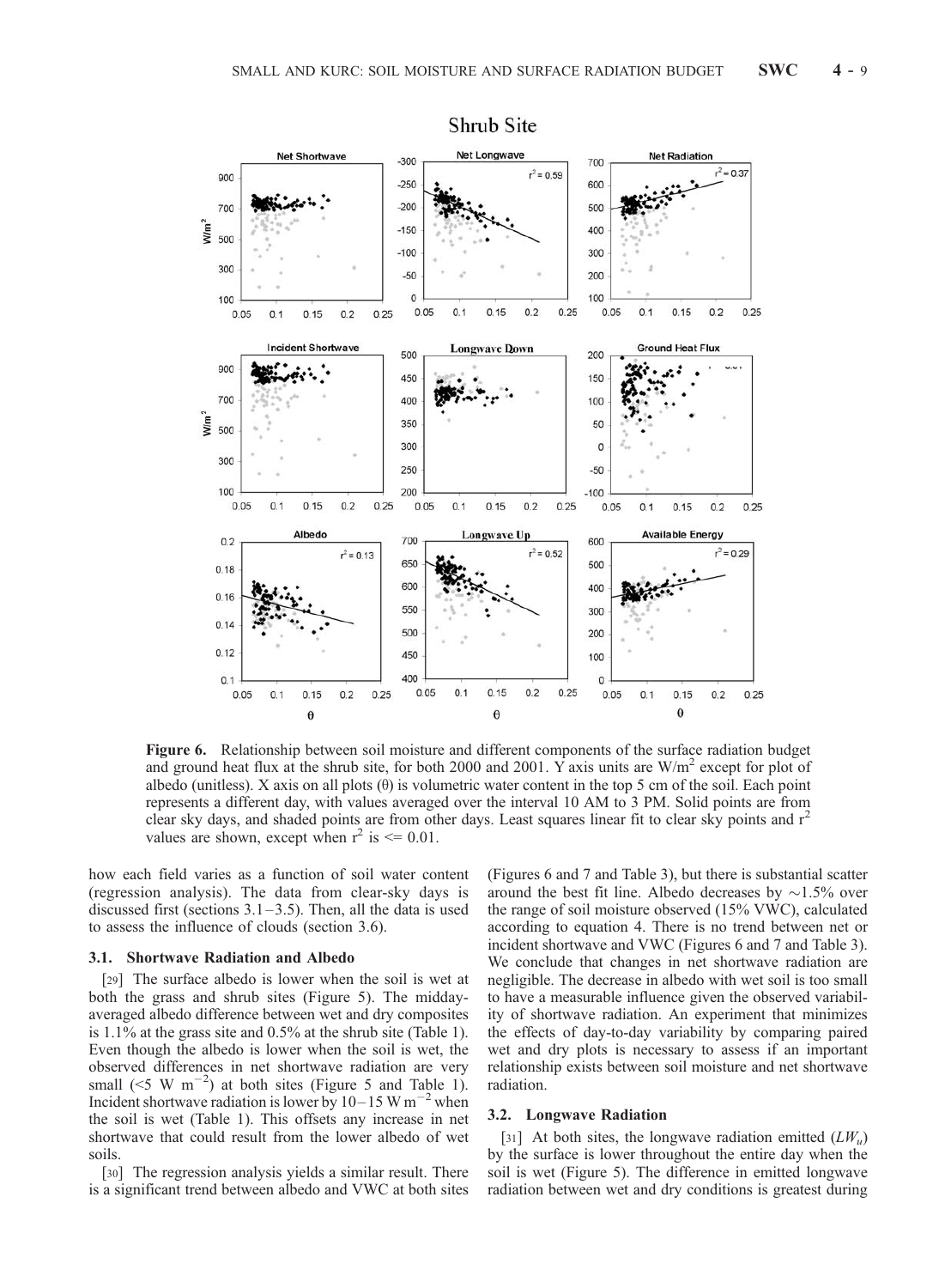

Shrub Site

Figure 6. Relationship between soil moisture and different components of the surface radiation budget and ground heat flux at the shrub site, for both 2000 and 2001. Y axis units are  $W/m<sup>2</sup>$  except for plot of albedo (unitless). X axis on all plots  $(\theta)$  is volumetric water content in the top 5 cm of the soil. Each point represents a different day, with values averaged over the interval 10 AM to 3 PM. Solid points are from clear sky days, and shaded points are from other days. Least squares linear fit to clear sky points and r<sup>2</sup> values are shown, except when  $r^2$  is  $\leq 0.01$ .

how each field varies as a function of soil water content (regression analysis). The data from clear-sky days is discussed first (sections  $3.1 - 3.5$ ). Then, all the data is used to assess the influence of clouds (section 3.6).

#### 3.1. Shortwave Radiation and Albedo

[29] The surface albedo is lower when the soil is wet at both the grass and shrub sites (Figure 5). The middayaveraged albedo difference between wet and dry composites is 1.1% at the grass site and 0.5% at the shrub site (Table 1). Even though the albedo is lower when the soil is wet, the observed differences in net shortwave radiation are very small ( $\leq$ 5 W m<sup>-2</sup>) at both sites (Figure 5 and Table 1). Incident shortwave radiation is lower by  $10-15$  W m<sup>-2</sup> when the soil is wet (Table 1). This offsets any increase in net shortwave that could result from the lower albedo of wet soils.

[30] The regression analysis yields a similar result. There is a significant trend between albedo and VWC at both sites (Figures 6 and 7 and Table 3), but there is substantial scatter around the best fit line. Albedo decreases by  $\sim$ 1.5% over the range of soil moisture observed (15% VWC), calculated according to equation 4. There is no trend between net or incident shortwave and VWC (Figures 6 and 7 and Table 3). We conclude that changes in net shortwave radiation are negligible. The decrease in albedo with wet soil is too small to have a measurable influence given the observed variability of shortwave radiation. An experiment that minimizes the effects of day-to-day variability by comparing paired wet and dry plots is necessary to assess if an important relationship exists between soil moisture and net shortwave radiation.

#### 3.2. Longwave Radiation

[31] At both sites, the longwave radiation emitted  $(LW_u)$ by the surface is lower throughout the entire day when the soil is wet (Figure 5). The difference in emitted longwave radiation between wet and dry conditions is greatest during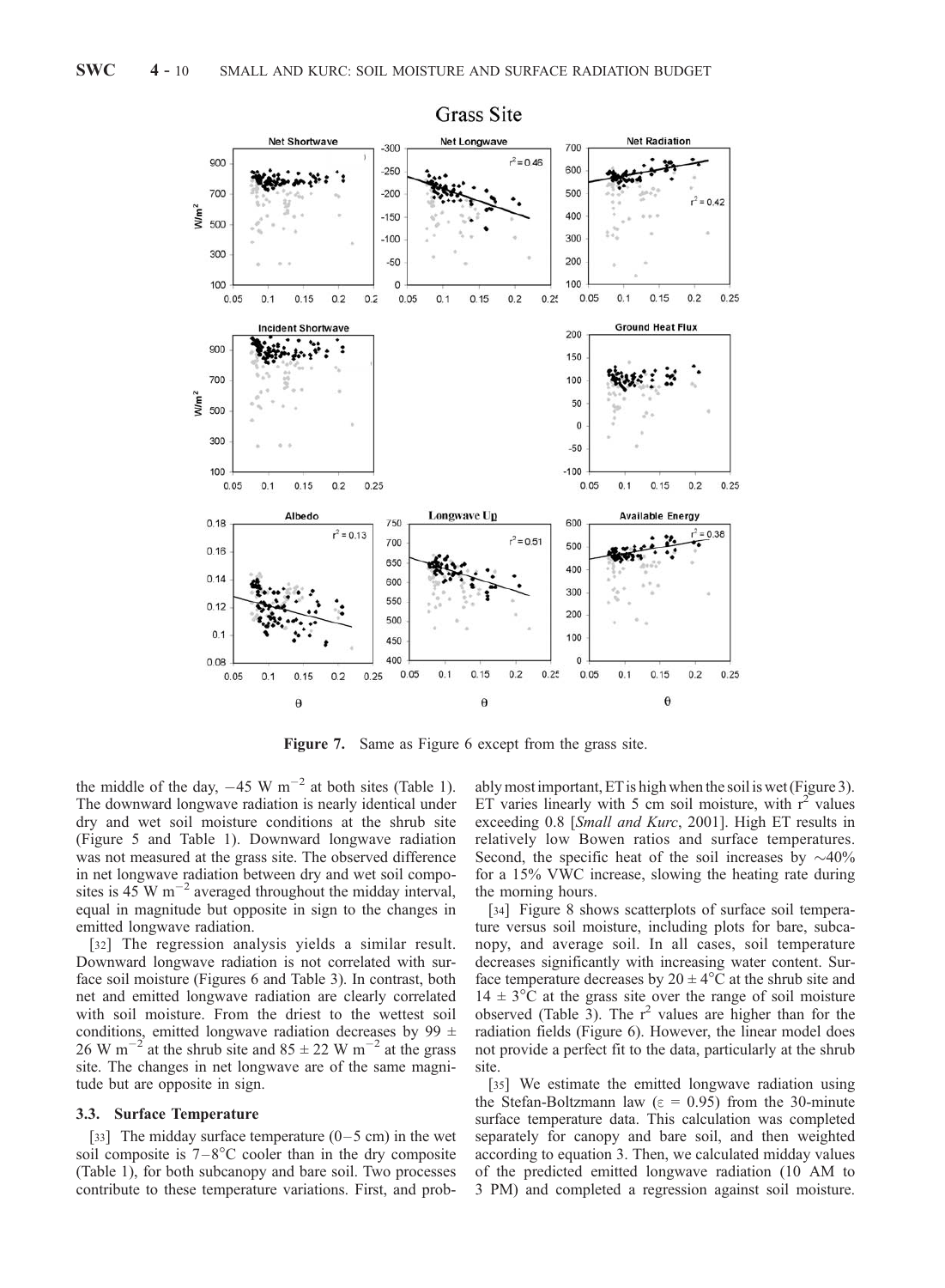

Figure 7. Same as Figure 6 except from the grass site.

the middle of the day,  $-45 \text{ W m}^{-2}$  at both sites (Table 1). The downward longwave radiation is nearly identical under dry and wet soil moisture conditions at the shrub site (Figure 5 and Table 1). Downward longwave radiation was not measured at the grass site. The observed difference in net longwave radiation between dry and wet soil composites is 45 W  $\text{m}^{-2}$  averaged throughout the midday interval, equal in magnitude but opposite in sign to the changes in emitted longwave radiation.

[32] The regression analysis yields a similar result. Downward longwave radiation is not correlated with surface soil moisture (Figures 6 and Table 3). In contrast, both net and emitted longwave radiation are clearly correlated with soil moisture. From the driest to the wettest soil conditions, emitted longwave radiation decreases by 99  $\pm$ 26 W m<sup>-2</sup> at the shrub site and  $85 \pm 22$  W m<sup>-2</sup> at the grass site. The changes in net longwave are of the same magnitude but are opposite in sign.

#### 3.3. Surface Temperature

[33] The midday surface temperature  $(0-5 \text{ cm})$  in the wet soil composite is  $7 - 8^{\circ}$ C cooler than in the dry composite (Table 1), for both subcanopy and bare soil. Two processes contribute to these temperature variations. First, and probably most important, ET is high when the soil is wet (Figure 3). ET varies linearly with 5 cm soil moisture, with  $r^2$  values exceeding 0.8 [Small and Kurc, 2001]. High ET results in relatively low Bowen ratios and surface temperatures. Second, the specific heat of the soil increases by  $\sim$ 40% for a 15% VWC increase, slowing the heating rate during the morning hours.

[34] Figure 8 shows scatterplots of surface soil temperature versus soil moisture, including plots for bare, subcanopy, and average soil. In all cases, soil temperature decreases significantly with increasing water content. Surface temperature decreases by  $20 \pm 4^{\circ}$ C at the shrub site and  $14 \pm 3$ °C at the grass site over the range of soil moisture observed (Table 3). The  $r^2$  values are higher than for the radiation fields (Figure 6). However, the linear model does not provide a perfect fit to the data, particularly at the shrub site.

[35] We estimate the emitted longwave radiation using the Stefan-Boltzmann law ( $\epsilon$  = 0.95) from the 30-minute surface temperature data. This calculation was completed separately for canopy and bare soil, and then weighted according to equation 3. Then, we calculated midday values of the predicted emitted longwave radiation (10 AM to 3 PM) and completed a regression against soil moisture.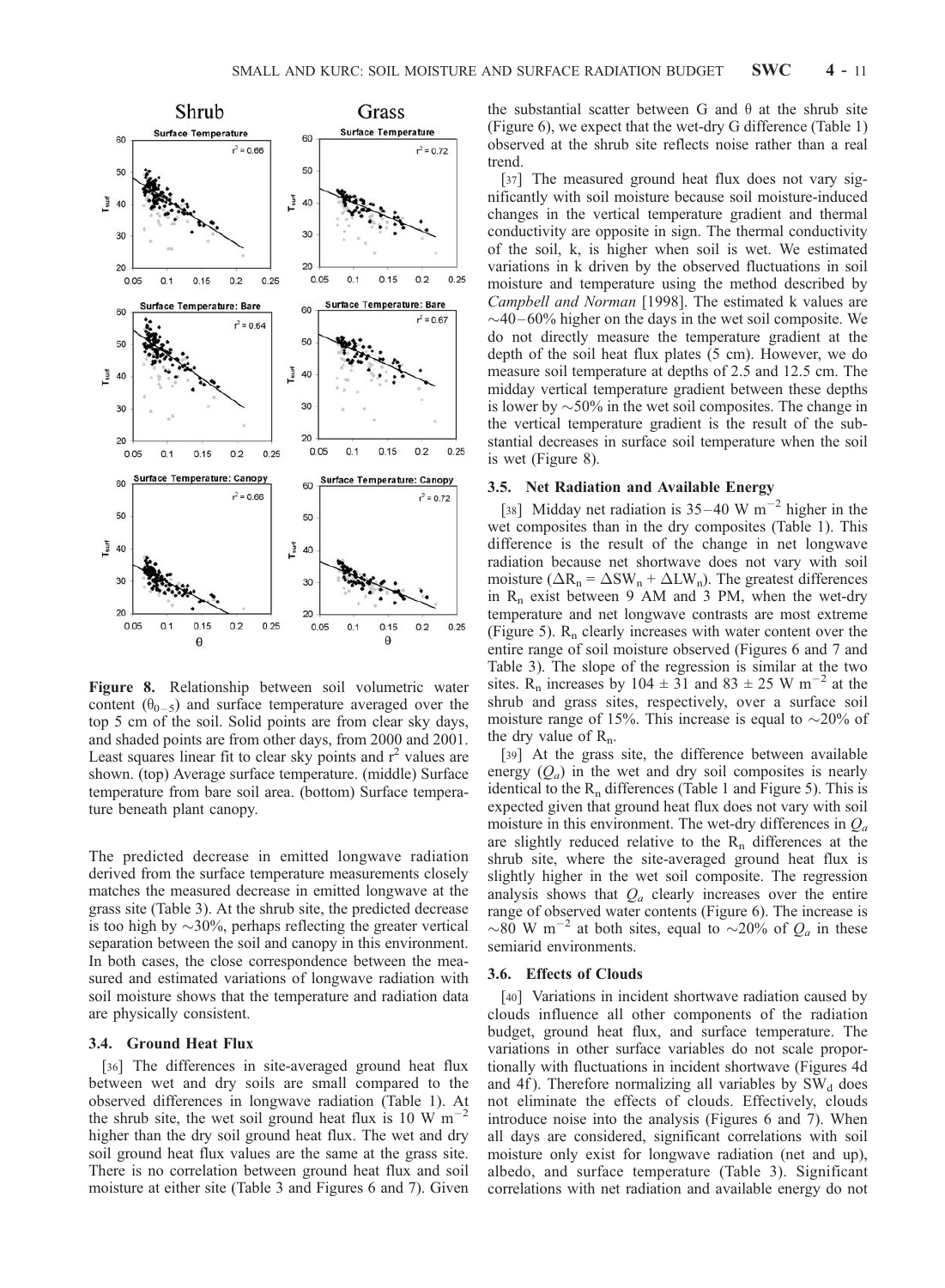

Figure 8. Relationship between soil volumetric water content  $(\theta_{0-5})$  and surface temperature averaged over the top 5 cm of the soil. Solid points are from clear sky days, and shaded points are from other days, from 2000 and 2001. Least squares linear fit to clear sky points and  $r^2$  values are shown. (top) Average surface temperature. (middle) Surface temperature from bare soil area. (bottom) Surface temperature beneath plant canopy.

The predicted decrease in emitted longwave radiation derived from the surface temperature measurements closely matches the measured decrease in emitted longwave at the grass site (Table 3). At the shrub site, the predicted decrease is too high by  $\sim$ 30%, perhaps reflecting the greater vertical separation between the soil and canopy in this environment. In both cases, the close correspondence between the measured and estimated variations of longwave radiation with soil moisture shows that the temperature and radiation data are physically consistent.

# 3.4. Ground Heat Flux

[36] The differences in site-averaged ground heat flux between wet and dry soils are small compared to the observed differences in longwave radiation (Table 1). At the shrub site, the wet soil ground heat flux is 10 W  $\text{m}^{-2}$ higher than the dry soil ground heat flux. The wet and dry soil ground heat flux values are the same at the grass site. There is no correlation between ground heat flux and soil moisture at either site (Table 3 and Figures 6 and 7). Given

the substantial scatter between G and  $\theta$  at the shrub site (Figure 6), we expect that the wet-dry G difference (Table 1) observed at the shrub site reflects noise rather than a real trend.

[37] The measured ground heat flux does not vary significantly with soil moisture because soil moisture-induced changes in the vertical temperature gradient and thermal conductivity are opposite in sign. The thermal conductivity of the soil, k, is higher when soil is wet. We estimated variations in k driven by the observed fluctuations in soil moisture and temperature using the method described by Campbell and Norman [1998]. The estimated k values are  $\sim$ 40–60% higher on the days in the wet soil composite. We do not directly measure the temperature gradient at the depth of the soil heat flux plates (5 cm). However, we do measure soil temperature at depths of 2.5 and 12.5 cm. The midday vertical temperature gradient between these depths is lower by  $\sim$  50% in the wet soil composites. The change in the vertical temperature gradient is the result of the substantial decreases in surface soil temperature when the soil is wet (Figure 8).

#### 3.5. Net Radiation and Available Energy

[38] Midday net radiation is  $35-40$  W m<sup>-2</sup> higher in the wet composites than in the dry composites (Table 1). This difference is the result of the change in net longwave radiation because net shortwave does not vary with soil moisture ( $\Delta R_n = \Delta SW_n + \Delta LW_n$ ). The greatest differences in  $R_n$  exist between 9 AM and 3 PM, when the wet-dry temperature and net longwave contrasts are most extreme (Figure 5).  $R_n$  clearly increases with water content over the entire range of soil moisture observed (Figures 6 and 7 and Table 3). The slope of the regression is similar at the two sites. R<sub>n</sub> increases by 104  $\pm$  31 and 83  $\pm$  25 W m<sup>-2</sup> at the shrub and grass sites, respectively, over a surface soil moisture range of 15%. This increase is equal to  $\sim$ 20% of the dry value of  $R_n$ .

[39] At the grass site, the difference between available energy  $(Q_a)$  in the wet and dry soil composites is nearly identical to the  $R_n$  differences (Table 1 and Figure 5). This is expected given that ground heat flux does not vary with soil moisture in this environment. The wet-dry differences in  $Q_a$ are slightly reduced relative to the  $R_n$  differences at the shrub site, where the site-averaged ground heat flux is slightly higher in the wet soil composite. The regression analysis shows that  $Q_a$  clearly increases over the entire range of observed water contents (Figure 6). The increase is  $\sim 80$  W m<sup>-2</sup> at both sites, equal to  $\sim 20\%$  of  $Q_a$  in these semiarid environments.

# 3.6. Effects of Clouds

[40] Variations in incident shortwave radiation caused by clouds influence all other components of the radiation budget, ground heat flux, and surface temperature. The variations in other surface variables do not scale proportionally with fluctuations in incident shortwave (Figures 4d and 4f). Therefore normalizing all variables by  $SW<sub>d</sub>$  does not eliminate the effects of clouds. Effectively, clouds introduce noise into the analysis (Figures 6 and 7). When all days are considered, significant correlations with soil moisture only exist for longwave radiation (net and up), albedo, and surface temperature (Table 3). Significant correlations with net radiation and available energy do not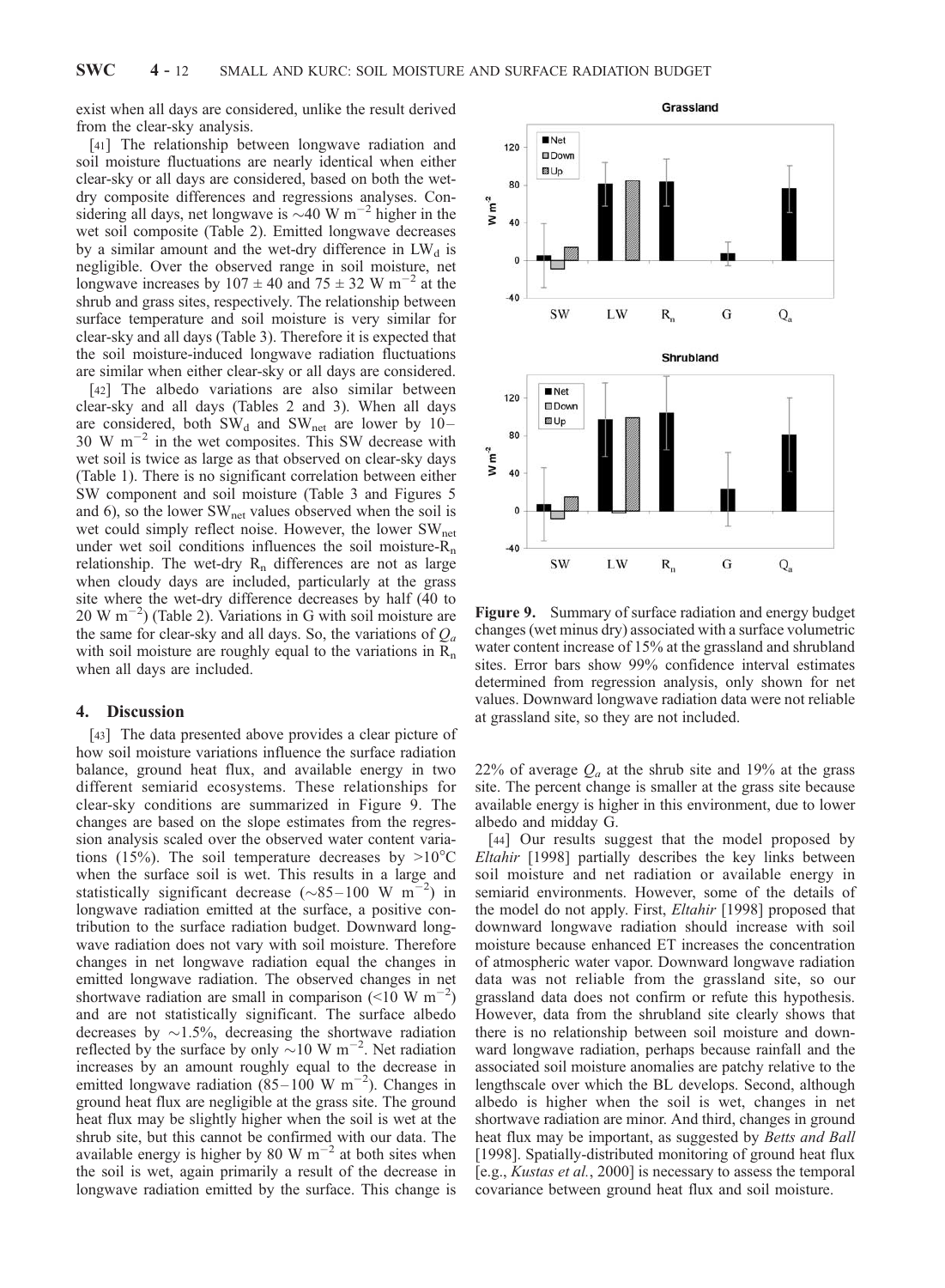exist when all days are considered, unlike the result derived from the clear-sky analysis.

[41] The relationship between longwave radiation and soil moisture fluctuations are nearly identical when either clear-sky or all days are considered, based on both the wetdry composite differences and regressions analyses. Considering all days, net longwave is  $\sim$ 40 W m<sup>-2</sup> higher in the wet soil composite (Table 2). Emitted longwave decreases by a similar amount and the wet-dry difference in  $LW_d$  is negligible. Over the observed range in soil moisture, net longwave increases by  $107 \pm 40$  and  $75 \pm 32$  W m<sup>-2</sup> at the shrub and grass sites, respectively. The relationship between surface temperature and soil moisture is very similar for clear-sky and all days (Table 3). Therefore it is expected that the soil moisture-induced longwave radiation fluctuations are similar when either clear-sky or all days are considered.

[42] The albedo variations are also similar between clear-sky and all days (Tables 2 and 3). When all days are considered, both  $SW_d$  and  $SW_{net}$  are lower by 10–  $30 \text{ W m}^{-2}$  in the wet composites. This SW decrease with wet soil is twice as large as that observed on clear-sky days (Table 1). There is no significant correlation between either SW component and soil moisture (Table 3 and Figures 5 and 6), so the lower  $SW<sub>net</sub>$  values observed when the soil is wet could simply reflect noise. However, the lower SW<sub>net</sub> under wet soil conditions influences the soil moisture- $R_n$ relationship. The wet-dry  $R_n$  differences are not as large when cloudy days are included, particularly at the grass site where the wet-dry difference decreases by half (40 to  $20 \text{ W m}^{-2}$ ) (Table 2). Variations in G with soil moisture are the same for clear-sky and all days. So, the variations of  $Q_a$ with soil moisture are roughly equal to the variations in  $R_n$ when all days are included.

#### 4. Discussion

[43] The data presented above provides a clear picture of how soil moisture variations influence the surface radiation balance, ground heat flux, and available energy in two different semiarid ecosystems. These relationships for clear-sky conditions are summarized in Figure 9. The changes are based on the slope estimates from the regression analysis scaled over the observed water content variations (15%). The soil temperature decreases by  $>10^{\circ}$ C when the surface soil is wet. This results in a large and statistically significant decrease  $(\sim 85-100 \text{ W m}^{-2})$  in longwave radiation emitted at the surface, a positive contribution to the surface radiation budget. Downward longwave radiation does not vary with soil moisture. Therefore changes in net longwave radiation equal the changes in emitted longwave radiation. The observed changes in net shortwave radiation are small in comparison ( $\leq 10 \text{ W m}^{-2}$ ) and are not statistically significant. The surface albedo decreases by  $\sim$ 1.5%, decreasing the shortwave radiation reflected by the surface by only  $\sim$ 10 W m<sup>-2</sup>. Net radiation increases by an amount roughly equal to the decrease in emitted longwave radiation  $(85-100 \text{ W m}^{-2})$ . Changes in ground heat flux are negligible at the grass site. The ground heat flux may be slightly higher when the soil is wet at the shrub site, but this cannot be confirmed with our data. The available energy is higher by 80 W  $m^{-2}$  at both sites when the soil is wet, again primarily a result of the decrease in longwave radiation emitted by the surface. This change is

Grassland **Net** 120 **OD**own **DU** 80  $W m<sup>-2</sup>$ 40  $\Omega$  $-40$  $\mathsf{R}_{\rm n}$ **SW** LW G  $Q_a$ Shrubland  $Net$ 120 **OD**own **DUp** 80  $W m<sup>-2</sup>$ 40  $\mathfrak{o}$  $-40$ **SW** G LW  $R_{n}$  $Q_a$ 

Figure 9. Summary of surface radiation and energy budget changes (wet minus dry) associated with a surface volumetric water content increase of 15% at the grassland and shrubland sites. Error bars show 99% confidence interval estimates determined from regression analysis, only shown for net values. Downward longwave radiation data were not reliable at grassland site, so they are not included.

22% of average  $Q_a$  at the shrub site and 19% at the grass site. The percent change is smaller at the grass site because available energy is higher in this environment, due to lower albedo and midday G.

[44] Our results suggest that the model proposed by Eltahir [1998] partially describes the key links between soil moisture and net radiation or available energy in semiarid environments. However, some of the details of the model do not apply. First, Eltahir [1998] proposed that downward longwave radiation should increase with soil moisture because enhanced ET increases the concentration of atmospheric water vapor. Downward longwave radiation data was not reliable from the grassland site, so our grassland data does not confirm or refute this hypothesis. However, data from the shrubland site clearly shows that there is no relationship between soil moisture and downward longwave radiation, perhaps because rainfall and the associated soil moisture anomalies are patchy relative to the lengthscale over which the BL develops. Second, although albedo is higher when the soil is wet, changes in net shortwave radiation are minor. And third, changes in ground heat flux may be important, as suggested by Betts and Ball [1998]. Spatially-distributed monitoring of ground heat flux [e.g., Kustas et al., 2000] is necessary to assess the temporal covariance between ground heat flux and soil moisture.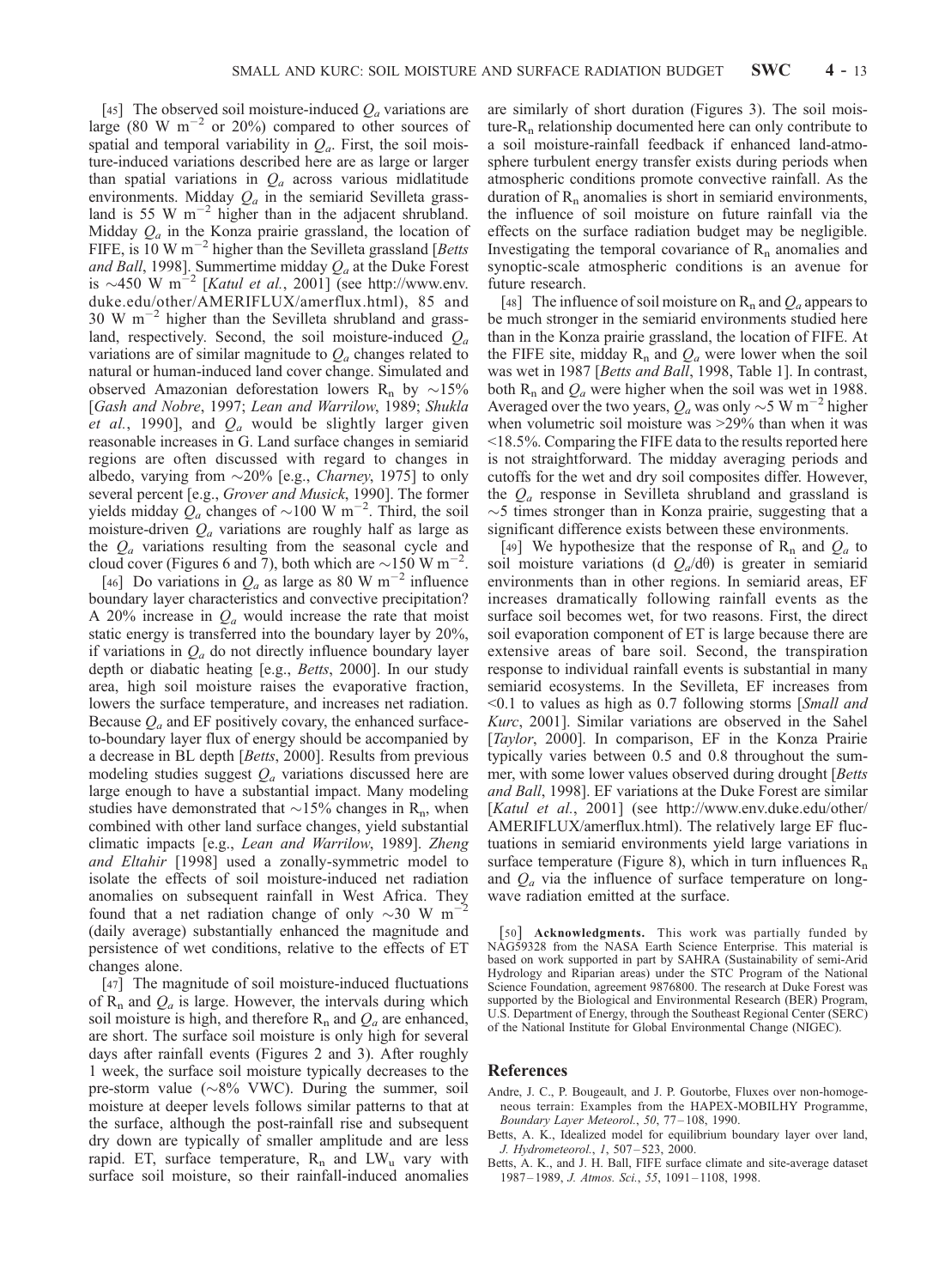[45] The observed soil moisture-induced  $Q_a$  variations are large (80 W  $m^{-2}$  or 20%) compared to other sources of spatial and temporal variability in  $Q_a$ . First, the soil moisture-induced variations described here are as large or larger than spatial variations in  $Q_a$  across various midlatitude environments. Midday  $Q_a$  in the semiarid Sevilleta grassland is 55 W  $m^{-2}$  higher than in the adjacent shrubland. Midday  $Q_a$  in the Konza prairie grassland, the location of FIFE, is  $10 \text{ W m}^{-2}$  higher than the Sevilleta grassland [Betts and Ball, 1998]. Summertime midday  $Q_a$  at the Duke Forest is  $\sim$ 450 W m<sup>-2</sup> [*Katul et al.*, 2001] (see http://www.env. duke.edu/other/AMERIFLUX/amerflux.html), 85 and 30 W  $\mathrm{m}^{-2}$  higher than the Sevilleta shrubland and grassland, respectively. Second, the soil moisture-induced  $Q_a$ variations are of similar magnitude to  $Q_a$  changes related to natural or human-induced land cover change. Simulated and observed Amazonian deforestation lowers  $R_n$  by  $\sim$ 15% [Gash and Nobre, 1997; Lean and Warrilow, 1989; Shukla *et al.*, 1990], and  $Q_a$  would be slightly larger given reasonable increases in G. Land surface changes in semiarid regions are often discussed with regard to changes in albedo, varying from  $\sim$ 20% [e.g., *Charney*, 1975] to only several percent [e.g., Grover and Musick, 1990]. The former yields midday  $Q_a$  changes of  $\sim$ 100 W m<sup>-2</sup>. Third, the soil moisture-driven  $Q_a$  variations are roughly half as large as the  $Q_a$  variations resulting from the seasonal cycle and cloud cover (Figures 6 and 7), both which are  $\sim$ 150 W m<sup>-2</sup>.

[46] Do variations in  $Q_a$  as large as 80 W m<sup>-2</sup> influence boundary layer characteristics and convective precipitation? A 20% increase in  $Q_a$  would increase the rate that moist static energy is transferred into the boundary layer by 20%, if variations in  $Q_a$  do not directly influence boundary layer depth or diabatic heating [e.g., Betts, 2000]. In our study area, high soil moisture raises the evaporative fraction, lowers the surface temperature, and increases net radiation. Because  $Q_a$  and EF positively covary, the enhanced surfaceto-boundary layer flux of energy should be accompanied by a decrease in BL depth [Betts, 2000]. Results from previous modeling studies suggest  $Q_a$  variations discussed here are large enough to have a substantial impact. Many modeling studies have demonstrated that  $\sim$ 15% changes in R<sub>n</sub>, when combined with other land surface changes, yield substantial climatic impacts [e.g., Lean and Warrilow, 1989]. Zheng and Eltahir [1998] used a zonally-symmetric model to isolate the effects of soil moisture-induced net radiation anomalies on subsequent rainfall in West Africa. They found that a net radiation change of only  $\sim$ 30 W m<sup>-2</sup> (daily average) substantially enhanced the magnitude and persistence of wet conditions, relative to the effects of ET changes alone.

[47] The magnitude of soil moisture-induced fluctuations of  $R_n$  and  $Q_a$  is large. However, the intervals during which soil moisture is high, and therefore  $R_n$  and  $Q_a$  are enhanced, are short. The surface soil moisture is only high for several days after rainfall events (Figures 2 and 3). After roughly 1 week, the surface soil moisture typically decreases to the pre-storm value ( $\sim 8\%$  VWC). During the summer, soil moisture at deeper levels follows similar patterns to that at the surface, although the post-rainfall rise and subsequent dry down are typically of smaller amplitude and are less rapid. ET, surface temperature,  $R_n$  and  $LW_u$  vary with surface soil moisture, so their rainfall-induced anomalies are similarly of short duration (Figures 3). The soil moisture- $R_n$  relationship documented here can only contribute to a soil moisture-rainfall feedback if enhanced land-atmosphere turbulent energy transfer exists during periods when atmospheric conditions promote convective rainfall. As the duration of  $R_n$  anomalies is short in semiarid environments, the influence of soil moisture on future rainfall via the effects on the surface radiation budget may be negligible. Investigating the temporal covariance of  $R_n$  anomalies and synoptic-scale atmospheric conditions is an avenue for future research.

[48] The influence of soil moisture on  $R_n$  and  $Q_a$  appears to be much stronger in the semiarid environments studied here than in the Konza prairie grassland, the location of FIFE. At the FIFE site, midday  $R_n$  and  $Q_a$  were lower when the soil was wet in 1987 [Betts and Ball, 1998, Table 1]. In contrast, both R<sub>n</sub> and  $Q_a$  were higher when the soil was wet in 1988. Averaged over the two years,  $Q_a$  was only  $\sim$  5 W m<sup>-2</sup> higher when volumetric soil moisture was >29% than when it was <18.5%. Comparing the FIFE data to the results reported here is not straightforward. The midday averaging periods and cutoffs for the wet and dry soil composites differ. However, the  $Q_a$  response in Sevilleta shrubland and grassland is  $\sim$ 5 times stronger than in Konza prairie, suggesting that a significant difference exists between these environments.

[49] We hypothesize that the response of  $R_n$  and  $Q_a$  to soil moisture variations (d  $Q_a/d\theta$ ) is greater in semiarid environments than in other regions. In semiarid areas, EF increases dramatically following rainfall events as the surface soil becomes wet, for two reasons. First, the direct soil evaporation component of ET is large because there are extensive areas of bare soil. Second, the transpiration response to individual rainfall events is substantial in many semiarid ecosystems. In the Sevilleta, EF increases from <0.1 to values as high as 0.7 following storms [Small and Kurc, 2001]. Similar variations are observed in the Sahel [Taylor, 2000]. In comparison, EF in the Konza Prairie typically varies between 0.5 and 0.8 throughout the summer, with some lower values observed during drought [Betts and Ball, 1998]. EF variations at the Duke Forest are similar [Katul et al., 2001] (see http://www.env.duke.edu/other/ AMERIFLUX/amerflux.html). The relatively large EF fluctuations in semiarid environments yield large variations in surface temperature (Figure 8), which in turn influences  $R_n$ and  $Q_a$  via the influence of surface temperature on longwave radiation emitted at the surface.

[50] Acknowledgments. This work was partially funded by NAG59328 from the NASA Earth Science Enterprise. This material is based on work supported in part by SAHRA (Sustainability of semi-Arid Hydrology and Riparian areas) under the STC Program of the National Science Foundation, agreement 9876800. The research at Duke Forest was supported by the Biological and Environmental Research (BER) Program, U.S. Department of Energy, through the Southeast Regional Center (SERC) of the National Institute for Global Environmental Change (NIGEC).

#### References

- Andre, J. C., P. Bougeault, and J. P. Goutorbe, Fluxes over non-homogeneous terrain: Examples from the HAPEX-MOBILHY Programme, Boundary Layer Meteorol., 50, 77 – 108, 1990.
- Betts, A. K., Idealized model for equilibrium boundary layer over land, J. Hydrometeorol., 1, 507 – 523, 2000.
- Betts, A. K., and J. H. Ball, FIFE surface climate and site-average dataset 1987 – 1989, J. Atmos. Sci., 55, 1091 – 1108, 1998.